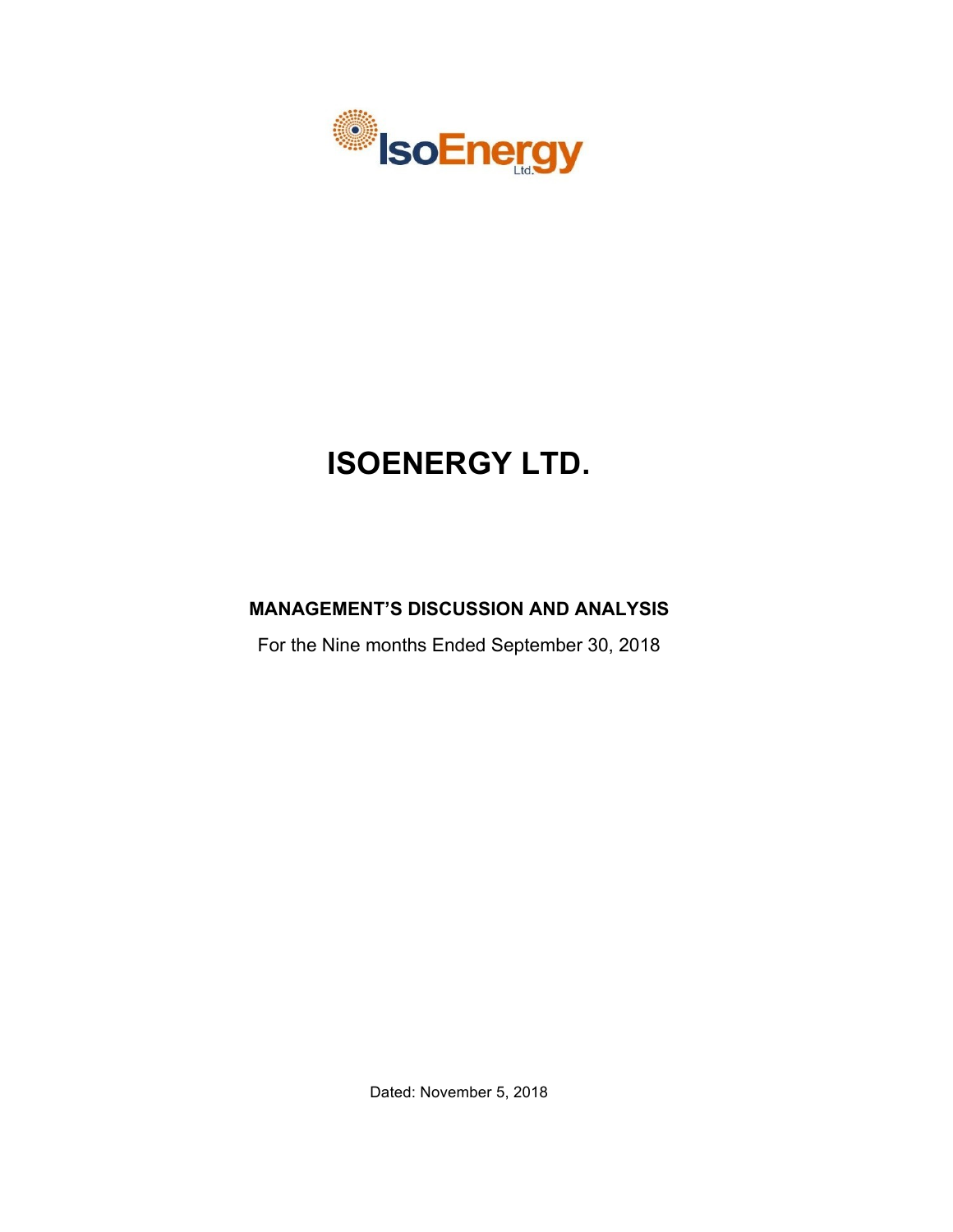

# **ISOENERGY LTD.**

# **MANAGEMENT'S DISCUSSION AND ANALYSIS**

For the Nine months Ended September 30, 2018

Dated: November 5, 2018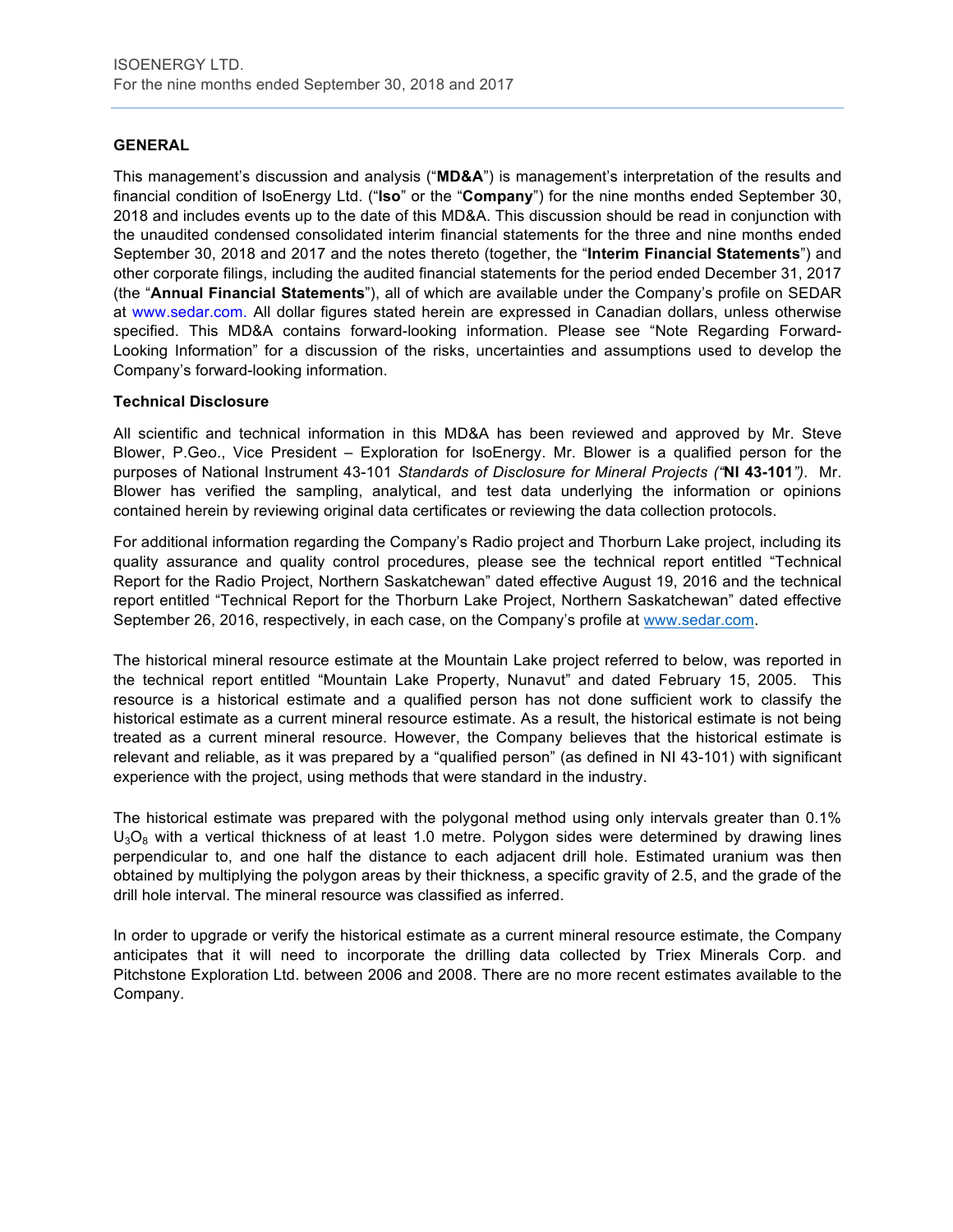# **GENERAL**

This management's discussion and analysis ("**MD&A**") is management's interpretation of the results and financial condition of IsoEnergy Ltd. ("**Iso**" or the "**Company**") for the nine months ended September 30, 2018 and includes events up to the date of this MD&A. This discussion should be read in conjunction with the unaudited condensed consolidated interim financial statements for the three and nine months ended September 30, 2018 and 2017 and the notes thereto (together, the "**Interim Financial Statements**") and other corporate filings, including the audited financial statements for the period ended December 31, 2017 (the "**Annual Financial Statements**"), all of which are available under the Company's profile on SEDAR at www.sedar.com. All dollar figures stated herein are expressed in Canadian dollars, unless otherwise specified. This MD&A contains forward-looking information. Please see "Note Regarding Forward-Looking Information" for a discussion of the risks, uncertainties and assumptions used to develop the Company's forward-looking information.

# **Technical Disclosure**

All scientific and technical information in this MD&A has been reviewed and approved by Mr. Steve Blower, P.Geo., Vice President – Exploration for IsoEnergy. Mr. Blower is a qualified person for the purposes of National Instrument 43-101 *Standards of Disclosure for Mineral Projects ("***NI 43-101***")*. Mr. Blower has verified the sampling, analytical, and test data underlying the information or opinions contained herein by reviewing original data certificates or reviewing the data collection protocols.

For additional information regarding the Company's Radio project and Thorburn Lake project, including its quality assurance and quality control procedures, please see the technical report entitled "Technical Report for the Radio Project, Northern Saskatchewan" dated effective August 19, 2016 and the technical report entitled "Technical Report for the Thorburn Lake Project, Northern Saskatchewan" dated effective September 26, 2016, respectively, in each case, on the Company's profile at www.sedar.com.

The historical mineral resource estimate at the Mountain Lake project referred to below, was reported in the technical report entitled "Mountain Lake Property, Nunavut" and dated February 15, 2005. This resource is a historical estimate and a qualified person has not done sufficient work to classify the historical estimate as a current mineral resource estimate. As a result, the historical estimate is not being treated as a current mineral resource. However, the Company believes that the historical estimate is relevant and reliable, as it was prepared by a "qualified person" (as defined in NI 43-101) with significant experience with the project, using methods that were standard in the industry.

The historical estimate was prepared with the polygonal method using only intervals greater than 0.1%  $U_3O_8$  with a vertical thickness of at least 1.0 metre. Polygon sides were determined by drawing lines perpendicular to, and one half the distance to each adjacent drill hole. Estimated uranium was then obtained by multiplying the polygon areas by their thickness, a specific gravity of 2.5, and the grade of the drill hole interval. The mineral resource was classified as inferred.

In order to upgrade or verify the historical estimate as a current mineral resource estimate, the Company anticipates that it will need to incorporate the drilling data collected by Triex Minerals Corp. and Pitchstone Exploration Ltd. between 2006 and 2008. There are no more recent estimates available to the Company.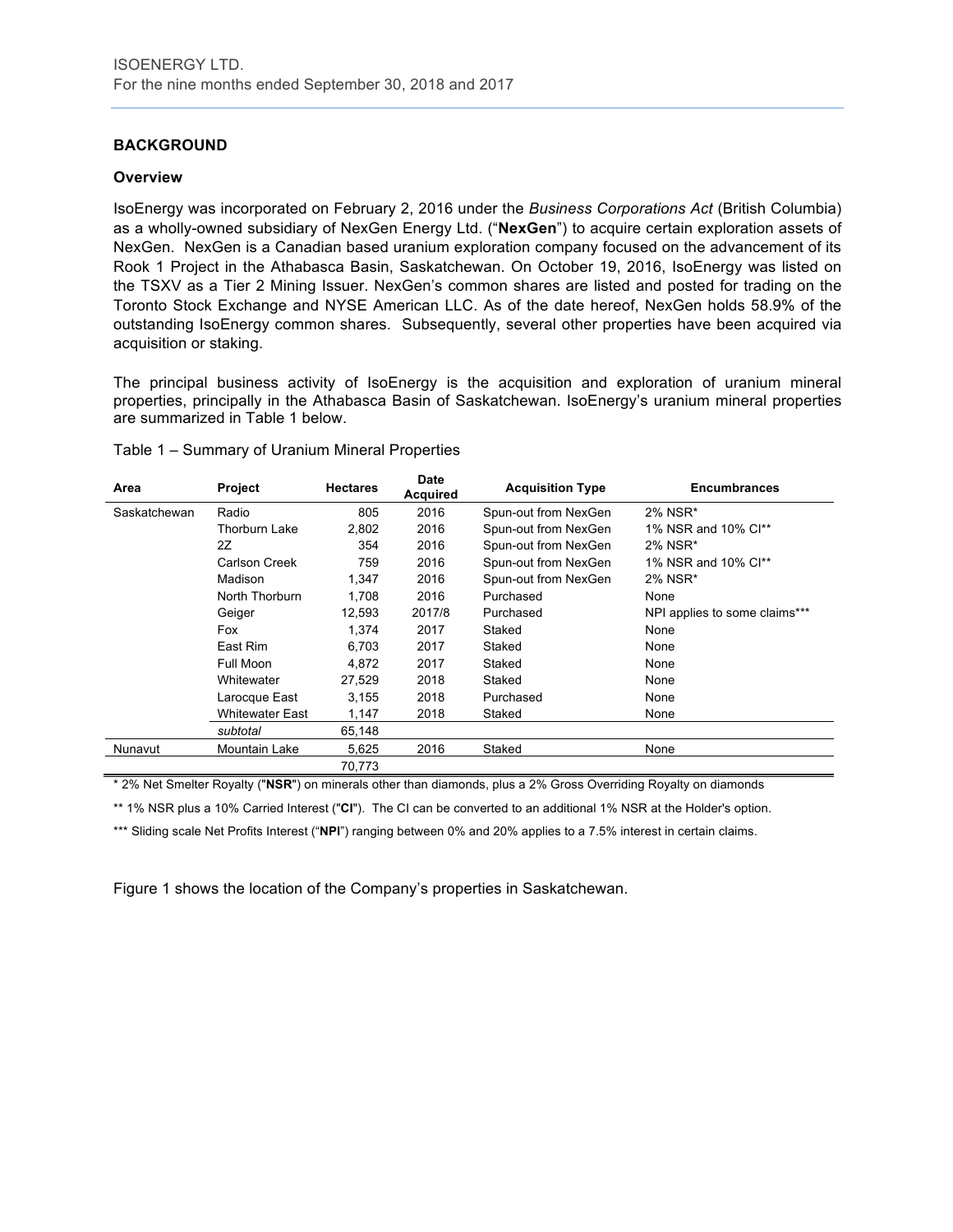# **BACKGROUND**

#### **Overview**

IsoEnergy was incorporated on February 2, 2016 under the *Business Corporations Act* (British Columbia) as a wholly-owned subsidiary of NexGen Energy Ltd. ("**NexGen**") to acquire certain exploration assets of NexGen. NexGen is a Canadian based uranium exploration company focused on the advancement of its Rook 1 Project in the Athabasca Basin, Saskatchewan. On October 19, 2016, IsoEnergy was listed on the TSXV as a Tier 2 Mining Issuer. NexGen's common shares are listed and posted for trading on the Toronto Stock Exchange and NYSE American LLC. As of the date hereof, NexGen holds 58.9% of the outstanding IsoEnergy common shares. Subsequently, several other properties have been acquired via acquisition or staking.

The principal business activity of IsoEnergy is the acquisition and exploration of uranium mineral properties, principally in the Athabasca Basin of Saskatchewan. IsoEnergy's uranium mineral properties are summarized in Table 1 below.

| Area         | Project                | <b>Hectares</b> | Date<br><b>Acquired</b> | <b>Acquisition Type</b> | <b>Encumbrances</b>           |
|--------------|------------------------|-----------------|-------------------------|-------------------------|-------------------------------|
| Saskatchewan | Radio                  | 805             | 2016                    | Spun-out from NexGen    | 2% NSR*                       |
|              | Thorburn Lake          | 2,802           | 2016                    | Spun-out from NexGen    | 1% NSR and 10% Cl**           |
|              | 2Z                     | 354             | 2016                    | Spun-out from NexGen    | 2% NSR*                       |
|              | Carlson Creek          | 759             | 2016                    | Spun-out from NexGen    | 1% NSR and 10% Cl**           |
|              | Madison                | 1,347           | 2016                    | Spun-out from NexGen    | 2% NSR*                       |
|              | North Thorburn         | 1.708           | 2016                    | Purchased               | None                          |
|              | Geiger                 | 12,593          | 2017/8                  | Purchased               | NPI applies to some claims*** |
|              | Fox                    | 1.374           | 2017                    | Staked                  | None                          |
|              | East Rim               | 6.703           | 2017                    | Staked                  | None                          |
|              | Full Moon              | 4,872           | 2017                    | Staked                  | None                          |
|              | Whitewater             | 27,529          | 2018                    | Staked                  | None                          |
|              | Larocque East          | 3.155           | 2018                    | Purchased               | None                          |
|              | <b>Whitewater East</b> | 1,147           | 2018                    | Staked                  | None                          |
|              | subtotal               | 65,148          |                         |                         |                               |
| Nunavut      | Mountain Lake          | 5,625           | 2016                    | Staked                  | None                          |
|              |                        | 70,773          |                         |                         |                               |

Table 1 – Summary of Uranium Mineral Properties

\* 2% Net Smelter Royalty ("**NSR**") on minerals other than diamonds, plus a 2% Gross Overriding Royalty on diamonds

\*\* 1% NSR plus a 10% Carried Interest ("**CI**"). The CI can be converted to an additional 1% NSR at the Holder's option.

\*\*\* Sliding scale Net Profits Interest ("NPI") ranging between 0% and 20% applies to a 7.5% interest in certain claims.

Figure 1 shows the location of the Company's properties in Saskatchewan.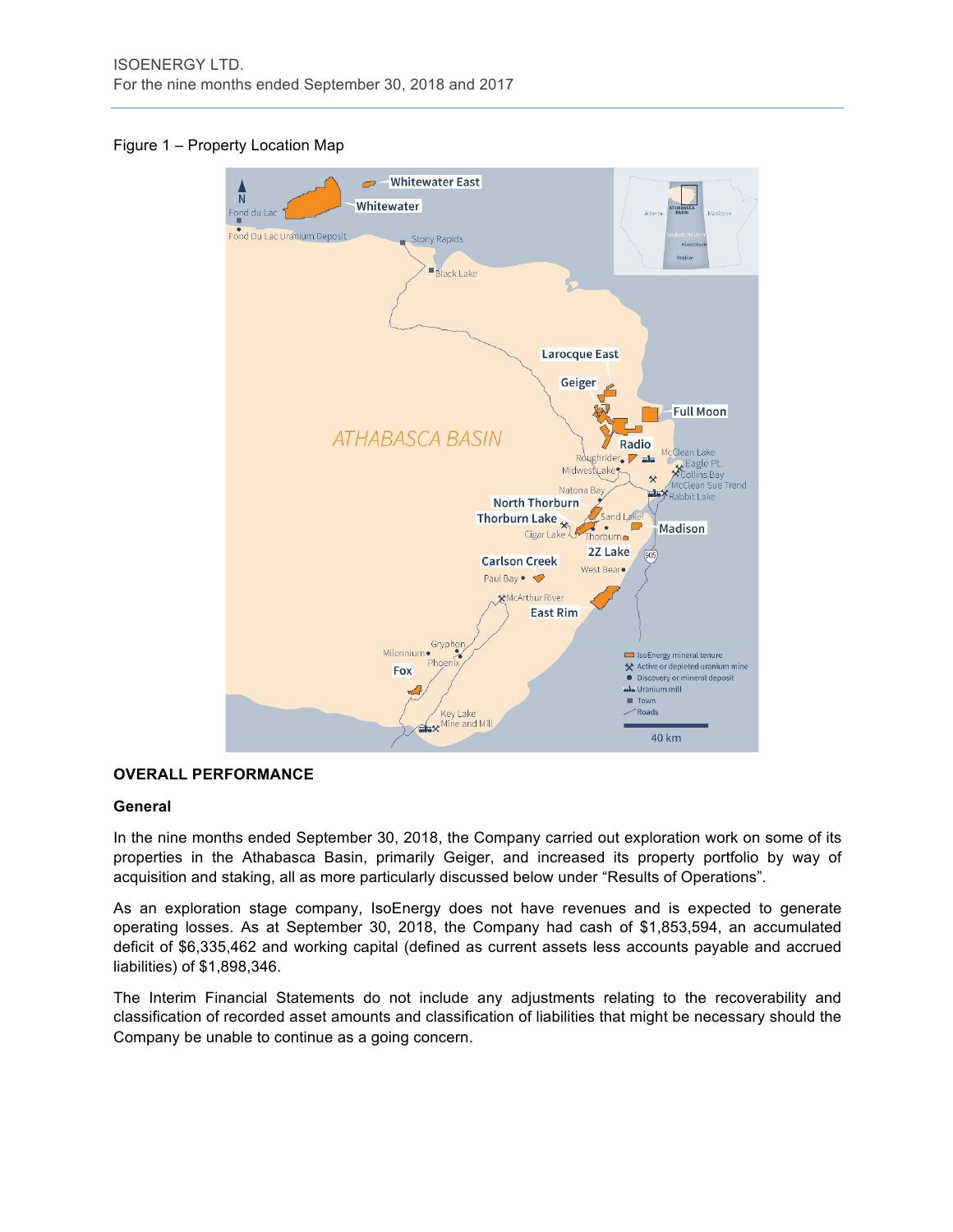# Figure 1 – Property Location Map



# **OVERALL PERFORMANCE**

#### **General**

In the nine months ended September 30, 2018, the Company carried out exploration work on some of its properties in the Athabasca Basin, primarily Geiger, and increased its property portfolio by way of acquisition and staking, all as more particularly discussed below under "Results of Operations".

As an exploration stage company, IsoEnergy does not have revenues and is expected to generate operating losses. As at September 30, 2018, the Company had cash of \$1,853,594, an accumulated deficit of \$6,335,462 and working capital (defined as current assets less accounts payable and accrued liabilities) of \$1,898,346.

The Interim Financial Statements do not include any adjustments relating to the recoverability and classification of recorded asset amounts and classification of liabilities that might be necessary should the Company be unable to continue as a going concern.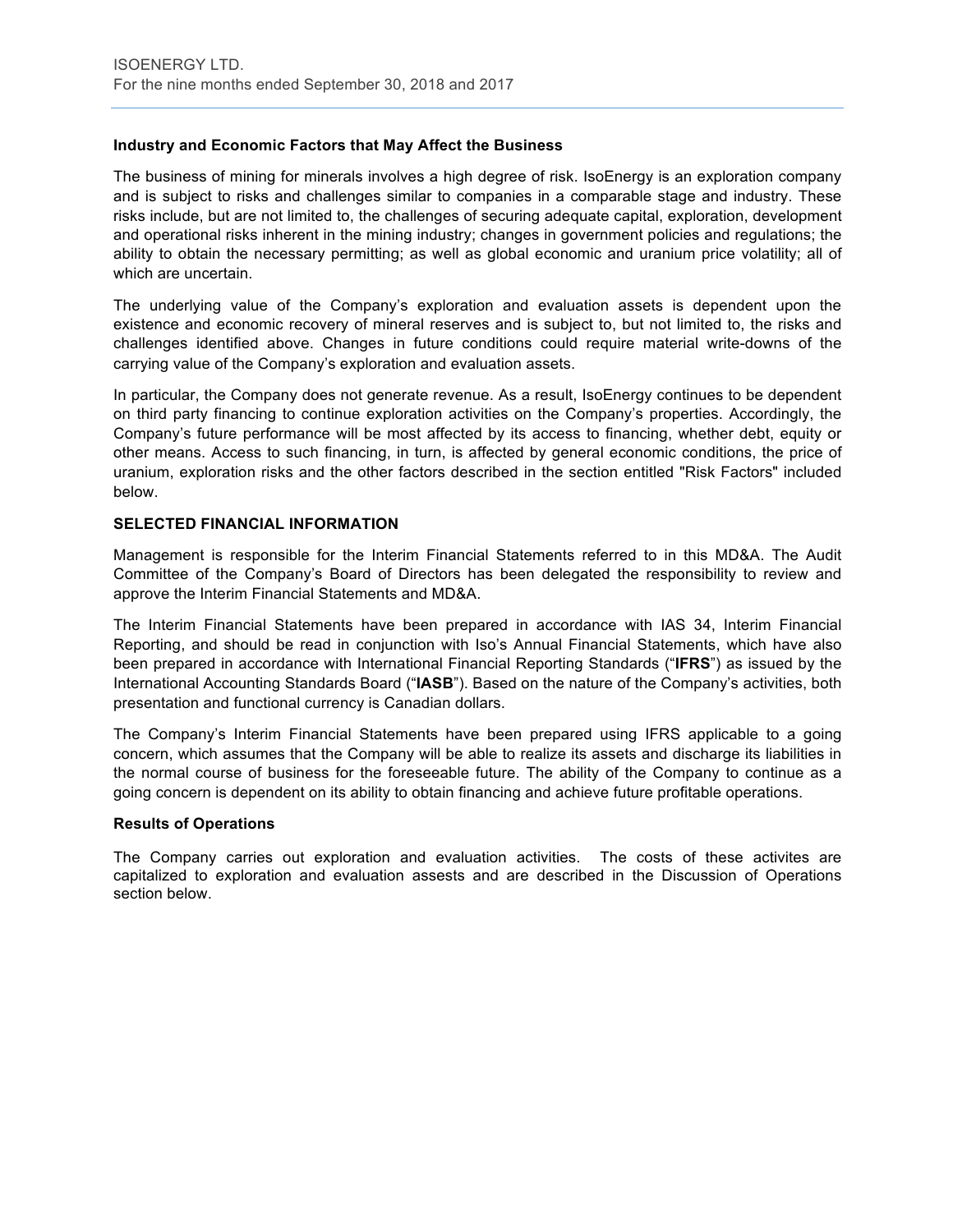# **Industry and Economic Factors that May Affect the Business**

The business of mining for minerals involves a high degree of risk. IsoEnergy is an exploration company and is subject to risks and challenges similar to companies in a comparable stage and industry. These risks include, but are not limited to, the challenges of securing adequate capital, exploration, development and operational risks inherent in the mining industry; changes in government policies and regulations; the ability to obtain the necessary permitting; as well as global economic and uranium price volatility; all of which are uncertain.

The underlying value of the Company's exploration and evaluation assets is dependent upon the existence and economic recovery of mineral reserves and is subject to, but not limited to, the risks and challenges identified above. Changes in future conditions could require material write-downs of the carrying value of the Company's exploration and evaluation assets.

In particular, the Company does not generate revenue. As a result, IsoEnergy continues to be dependent on third party financing to continue exploration activities on the Company's properties. Accordingly, the Company's future performance will be most affected by its access to financing, whether debt, equity or other means. Access to such financing, in turn, is affected by general economic conditions, the price of uranium, exploration risks and the other factors described in the section entitled "Risk Factors" included below.

#### **SELECTED FINANCIAL INFORMATION**

Management is responsible for the Interim Financial Statements referred to in this MD&A. The Audit Committee of the Company's Board of Directors has been delegated the responsibility to review and approve the Interim Financial Statements and MD&A.

The Interim Financial Statements have been prepared in accordance with IAS 34, Interim Financial Reporting, and should be read in conjunction with Iso's Annual Financial Statements, which have also been prepared in accordance with International Financial Reporting Standards ("**IFRS**") as issued by the International Accounting Standards Board ("**IASB**"). Based on the nature of the Company's activities, both presentation and functional currency is Canadian dollars.

The Company's Interim Financial Statements have been prepared using IFRS applicable to a going concern, which assumes that the Company will be able to realize its assets and discharge its liabilities in the normal course of business for the foreseeable future. The ability of the Company to continue as a going concern is dependent on its ability to obtain financing and achieve future profitable operations.

#### **Results of Operations**

The Company carries out exploration and evaluation activities. The costs of these activites are capitalized to exploration and evaluation assests and are described in the Discussion of Operations section below.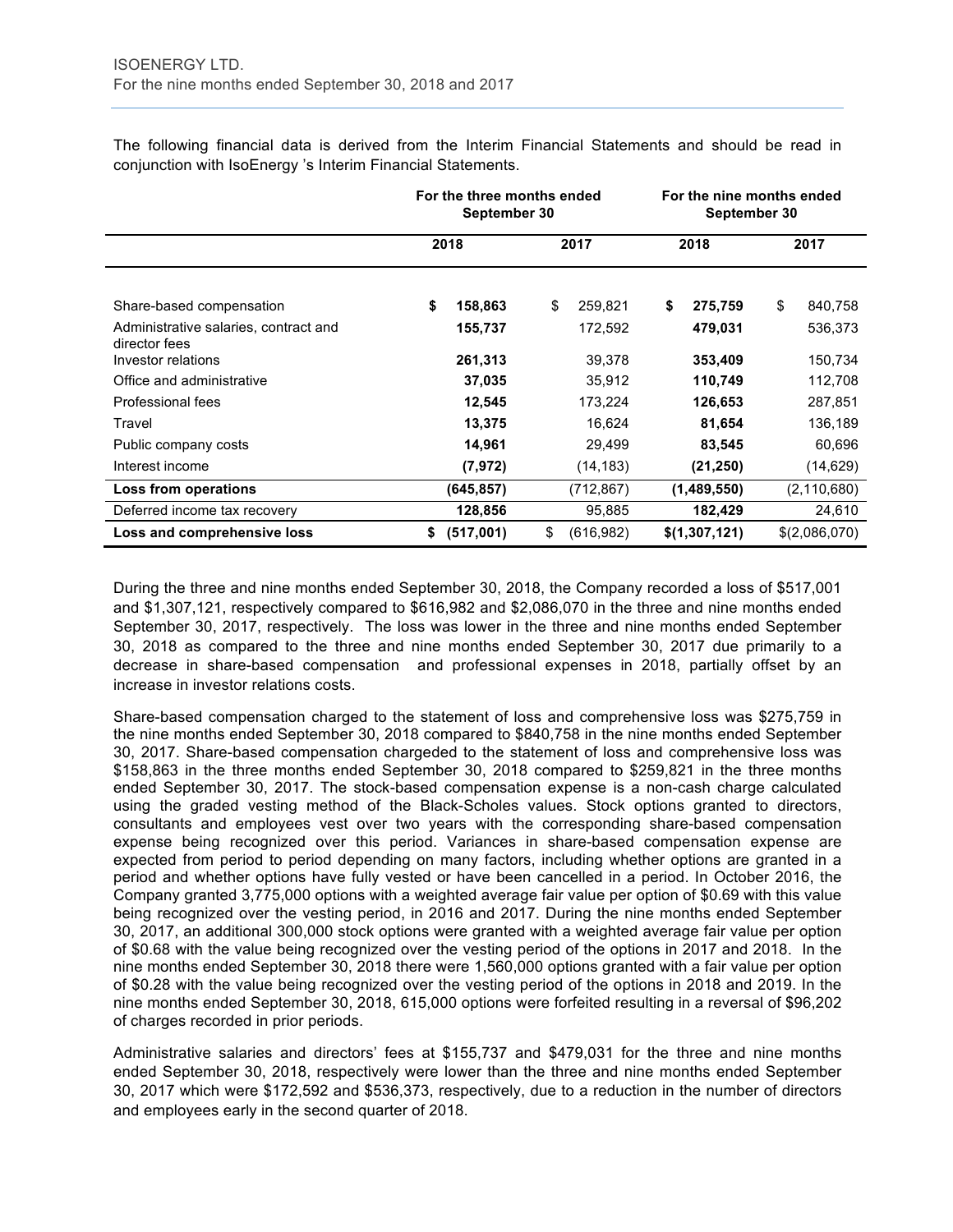The following financial data is derived from the Interim Financial Statements and should be read in conjunction with IsoEnergy 's Interim Financial Statements.

|                                                        | For the three months ended<br>September 30 |                  | For the nine months ended<br>September 30 |               |
|--------------------------------------------------------|--------------------------------------------|------------------|-------------------------------------------|---------------|
|                                                        | 2018                                       | 2017             | 2018                                      | 2017          |
| Share-based compensation                               | \$<br>158,863                              | \$<br>259,821    | \$<br>275,759                             | \$<br>840,758 |
| Administrative salaries, contract and<br>director fees | 155,737                                    | 172,592          | 479,031                                   | 536,373       |
| Investor relations                                     | 261,313                                    | 39,378           | 353,409                                   | 150,734       |
| Office and administrative                              | 37,035                                     | 35,912           | 110,749                                   | 112,708       |
| Professional fees                                      | 12,545                                     | 173,224          | 126,653                                   | 287,851       |
| Travel                                                 | 13,375                                     | 16,624           | 81,654                                    | 136,189       |
| Public company costs                                   | 14,961                                     | 29,499           | 83,545                                    | 60,696        |
| Interest income                                        | (7, 972)                                   | (14, 183)        | (21, 250)                                 | (14, 629)     |
| Loss from operations                                   | (645,857)                                  | (712,867)        | (1,489,550)                               | (2, 110, 680) |
| Deferred income tax recovery                           | 128,856                                    | 95,885           | 182,429                                   | 24,610        |
| Loss and comprehensive loss                            | (517,001)<br>\$                            | (616, 982)<br>\$ | \$(1,307,121)                             | \$(2,086,070) |

During the three and nine months ended September 30, 2018, the Company recorded a loss of \$517,001 and \$1,307,121, respectively compared to \$616,982 and \$2,086,070 in the three and nine months ended September 30, 2017, respectively. The loss was lower in the three and nine months ended September 30, 2018 as compared to the three and nine months ended September 30, 2017 due primarily to a decrease in share-based compensation and professional expenses in 2018, partially offset by an increase in investor relations costs.

Share-based compensation charged to the statement of loss and comprehensive loss was \$275,759 in the nine months ended September 30, 2018 compared to \$840,758 in the nine months ended September 30, 2017. Share-based compensation chargeded to the statement of loss and comprehensive loss was \$158,863 in the three months ended September 30, 2018 compared to \$259,821 in the three months ended September 30, 2017. The stock-based compensation expense is a non-cash charge calculated using the graded vesting method of the Black-Scholes values. Stock options granted to directors, consultants and employees vest over two years with the corresponding share-based compensation expense being recognized over this period. Variances in share-based compensation expense are expected from period to period depending on many factors, including whether options are granted in a period and whether options have fully vested or have been cancelled in a period. In October 2016, the Company granted 3,775,000 options with a weighted average fair value per option of \$0.69 with this value being recognized over the vesting period, in 2016 and 2017. During the nine months ended September 30, 2017, an additional 300,000 stock options were granted with a weighted average fair value per option of \$0.68 with the value being recognized over the vesting period of the options in 2017 and 2018. In the nine months ended September 30, 2018 there were 1,560,000 options granted with a fair value per option of \$0.28 with the value being recognized over the vesting period of the options in 2018 and 2019. In the nine months ended September 30, 2018, 615,000 options were forfeited resulting in a reversal of \$96,202 of charges recorded in prior periods.

Administrative salaries and directors' fees at \$155,737 and \$479,031 for the three and nine months ended September 30, 2018, respectively were lower than the three and nine months ended September 30, 2017 which were \$172,592 and \$536,373, respectively, due to a reduction in the number of directors and employees early in the second quarter of 2018.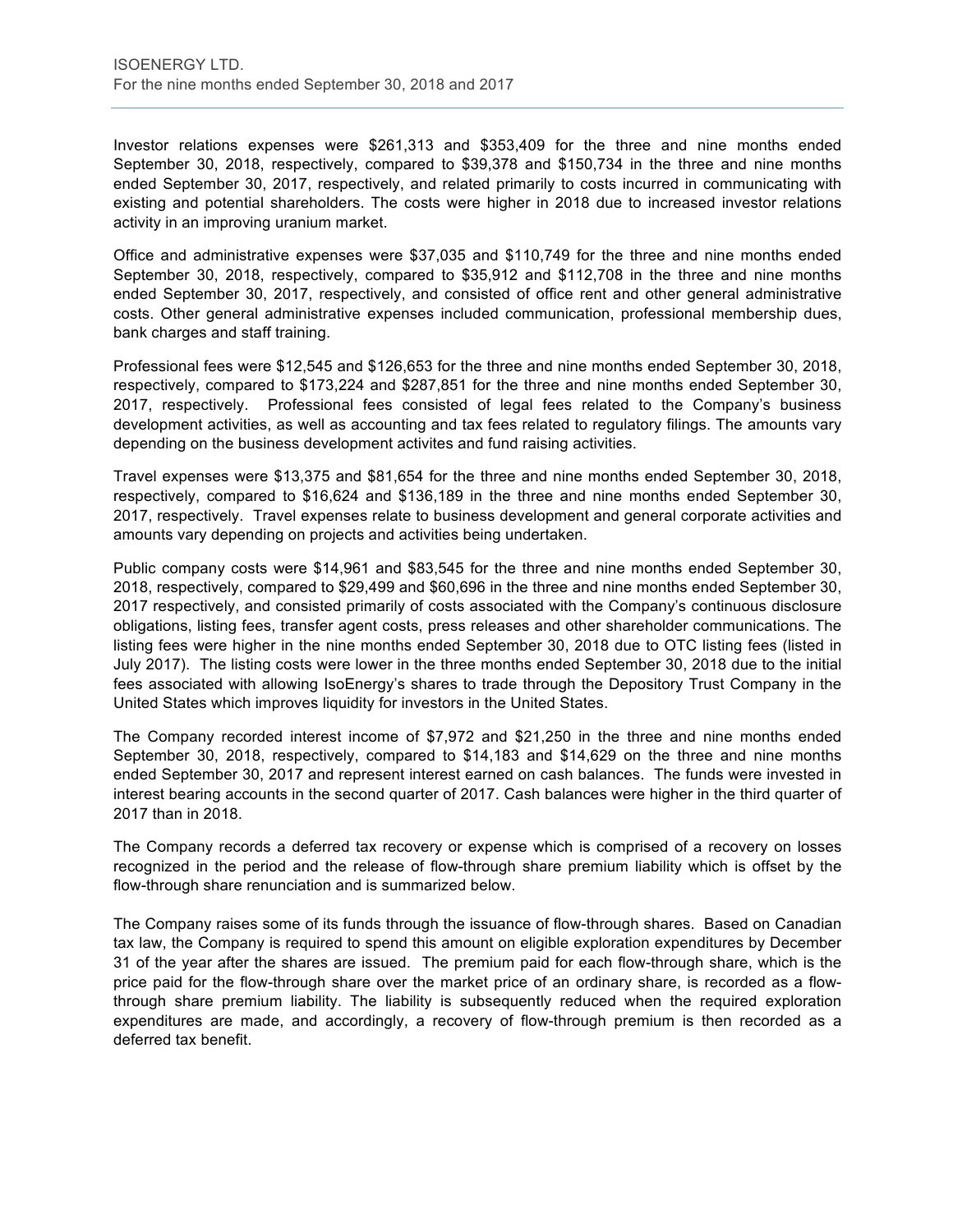Investor relations expenses were \$261,313 and \$353,409 for the three and nine months ended September 30, 2018, respectively, compared to \$39,378 and \$150,734 in the three and nine months ended September 30, 2017, respectively, and related primarily to costs incurred in communicating with existing and potential shareholders. The costs were higher in 2018 due to increased investor relations activity in an improving uranium market.

Office and administrative expenses were \$37,035 and \$110,749 for the three and nine months ended September 30, 2018, respectively, compared to \$35,912 and \$112,708 in the three and nine months ended September 30, 2017, respectively, and consisted of office rent and other general administrative costs. Other general administrative expenses included communication, professional membership dues, bank charges and staff training.

Professional fees were \$12,545 and \$126,653 for the three and nine months ended September 30, 2018, respectively, compared to \$173,224 and \$287,851 for the three and nine months ended September 30, 2017, respectively. Professional fees consisted of legal fees related to the Company's business development activities, as well as accounting and tax fees related to regulatory filings. The amounts vary depending on the business development activites and fund raising activities.

Travel expenses were \$13,375 and \$81,654 for the three and nine months ended September 30, 2018, respectively, compared to \$16,624 and \$136,189 in the three and nine months ended September 30, 2017, respectively. Travel expenses relate to business development and general corporate activities and amounts vary depending on projects and activities being undertaken.

Public company costs were \$14,961 and \$83,545 for the three and nine months ended September 30, 2018, respectively, compared to \$29,499 and \$60,696 in the three and nine months ended September 30, 2017 respectively, and consisted primarily of costs associated with the Company's continuous disclosure obligations, listing fees, transfer agent costs, press releases and other shareholder communications. The listing fees were higher in the nine months ended September 30, 2018 due to OTC listing fees (listed in July 2017). The listing costs were lower in the three months ended September 30, 2018 due to the initial fees associated with allowing IsoEnergy's shares to trade through the Depository Trust Company in the United States which improves liquidity for investors in the United States.

The Company recorded interest income of \$7,972 and \$21,250 in the three and nine months ended September 30, 2018, respectively, compared to \$14,183 and \$14,629 on the three and nine months ended September 30, 2017 and represent interest earned on cash balances. The funds were invested in interest bearing accounts in the second quarter of 2017. Cash balances were higher in the third quarter of 2017 than in 2018.

The Company records a deferred tax recovery or expense which is comprised of a recovery on losses recognized in the period and the release of flow-through share premium liability which is offset by the flow-through share renunciation and is summarized below.

The Company raises some of its funds through the issuance of flow-through shares. Based on Canadian tax law, the Company is required to spend this amount on eligible exploration expenditures by December 31 of the year after the shares are issued. The premium paid for each flow-through share, which is the price paid for the flow-through share over the market price of an ordinary share, is recorded as a flowthrough share premium liability. The liability is subsequently reduced when the required exploration expenditures are made, and accordingly, a recovery of flow-through premium is then recorded as a deferred tax benefit.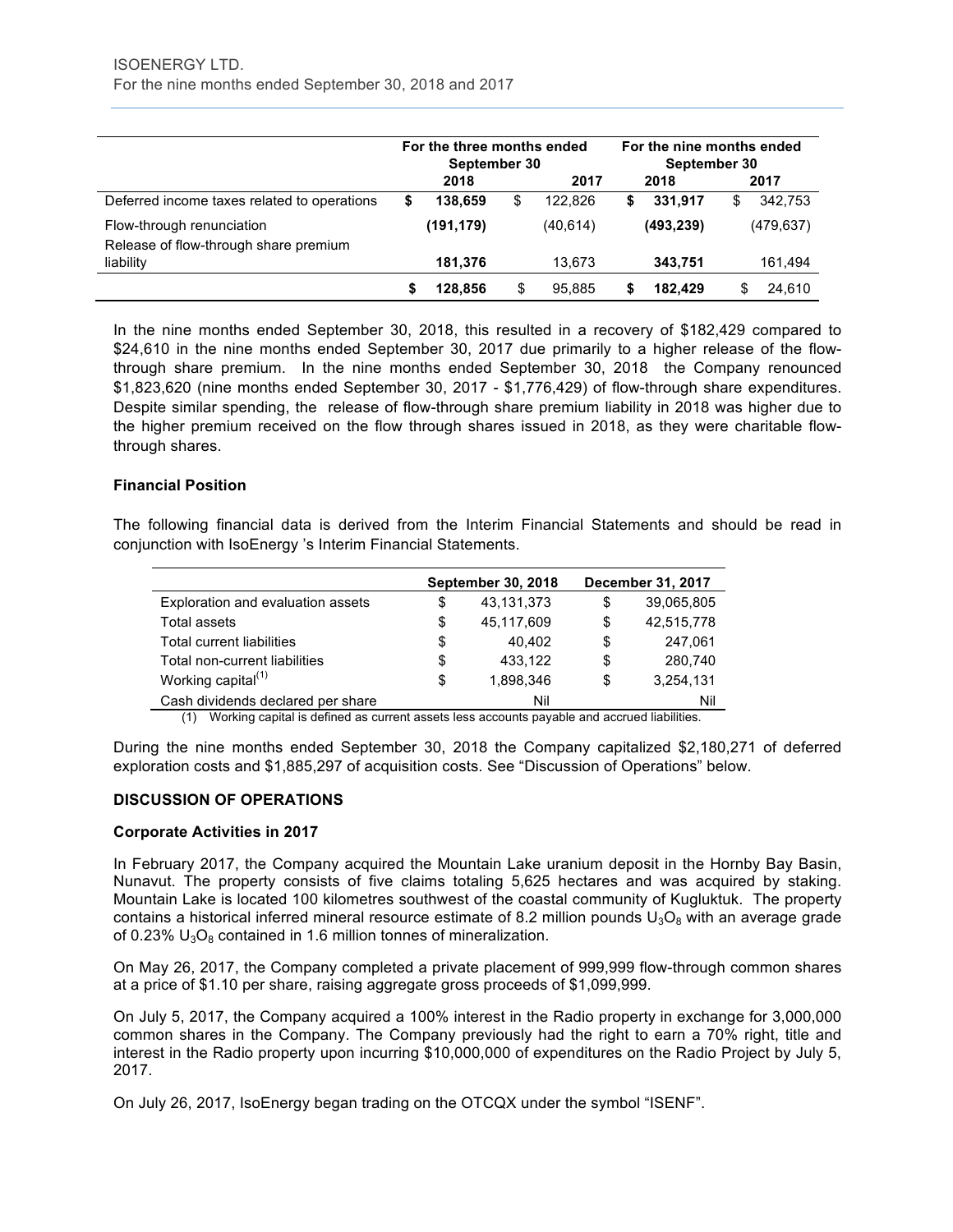|                                                                    | For the three months ended<br>September 30 |            |    |           | For the nine months ended<br>September 30 |            |   |            |
|--------------------------------------------------------------------|--------------------------------------------|------------|----|-----------|-------------------------------------------|------------|---|------------|
|                                                                    |                                            | 2018       |    | 2017      |                                           | 2018       |   | 2017       |
| Deferred income taxes related to operations                        | S                                          | 138.659    | \$ | 122.826   | S                                         | 331.917    | S | 342.753    |
| Flow-through renunciation<br>Release of flow-through share premium |                                            | (191, 179) |    | (40, 614) |                                           | (493, 239) |   | (479, 637) |
| liability                                                          |                                            | 181,376    |    | 13.673    |                                           | 343,751    |   | 161,494    |
|                                                                    | S                                          | 128,856    | S  | 95.885    |                                           | 182.429    | S | 24.610     |

In the nine months ended September 30, 2018, this resulted in a recovery of \$182,429 compared to \$24,610 in the nine months ended September 30, 2017 due primarily to a higher release of the flowthrough share premium. In the nine months ended September 30, 2018 the Company renounced \$1,823,620 (nine months ended September 30, 2017 - \$1,776,429) of flow-through share expenditures. Despite similar spending, the release of flow-through share premium liability in 2018 was higher due to the higher premium received on the flow through shares issued in 2018, as they were charitable flowthrough shares.

# **Financial Position**

The following financial data is derived from the Interim Financial Statements and should be read in conjunction with IsoEnergy 's Interim Financial Statements.

|                                                                                                 | <b>September 30, 2018</b> | December 31, 2017 |
|-------------------------------------------------------------------------------------------------|---------------------------|-------------------|
| Exploration and evaluation assets                                                               | \$<br>43,131,373          | \$<br>39,065,805  |
| Total assets                                                                                    | \$<br>45.117.609          | \$<br>42,515,778  |
| Total current liabilities                                                                       | \$<br>40.402              | \$<br>247.061     |
| Total non-current liabilities                                                                   | \$<br>433.122             | \$<br>280.740     |
| Working capital $(1)$                                                                           | \$<br>1.898.346           | \$<br>3,254,131   |
| Cash dividends declared per share                                                               | Nil                       | Nil               |
| (4) Mericina conital is defined as surrant coeste less cossuite payable and cossued lightlities |                           |                   |

(1) Working capital is defined as current assets less accounts payable and accrued liabilities.

During the nine months ended September 30, 2018 the Company capitalized \$2,180,271 of deferred exploration costs and \$1,885,297 of acquisition costs. See "Discussion of Operations" below.

#### **DISCUSSION OF OPERATIONS**

#### **Corporate Activities in 2017**

In February 2017, the Company acquired the Mountain Lake uranium deposit in the Hornby Bay Basin, Nunavut. The property consists of five claims totaling 5,625 hectares and was acquired by staking. Mountain Lake is located 100 kilometres southwest of the coastal community of Kugluktuk. The property contains a historical inferred mineral resource estimate of 8.2 million pounds  $U_3O_8$  with an average grade of 0.23%  $U_3O_8$  contained in 1.6 million tonnes of mineralization.

On May 26, 2017, the Company completed a private placement of 999,999 flow-through common shares at a price of \$1.10 per share, raising aggregate gross proceeds of \$1,099,999.

On July 5, 2017, the Company acquired a 100% interest in the Radio property in exchange for 3,000,000 common shares in the Company. The Company previously had the right to earn a 70% right, title and interest in the Radio property upon incurring \$10,000,000 of expenditures on the Radio Project by July 5, 2017.

On July 26, 2017, IsoEnergy began trading on the OTCQX under the symbol "ISENF".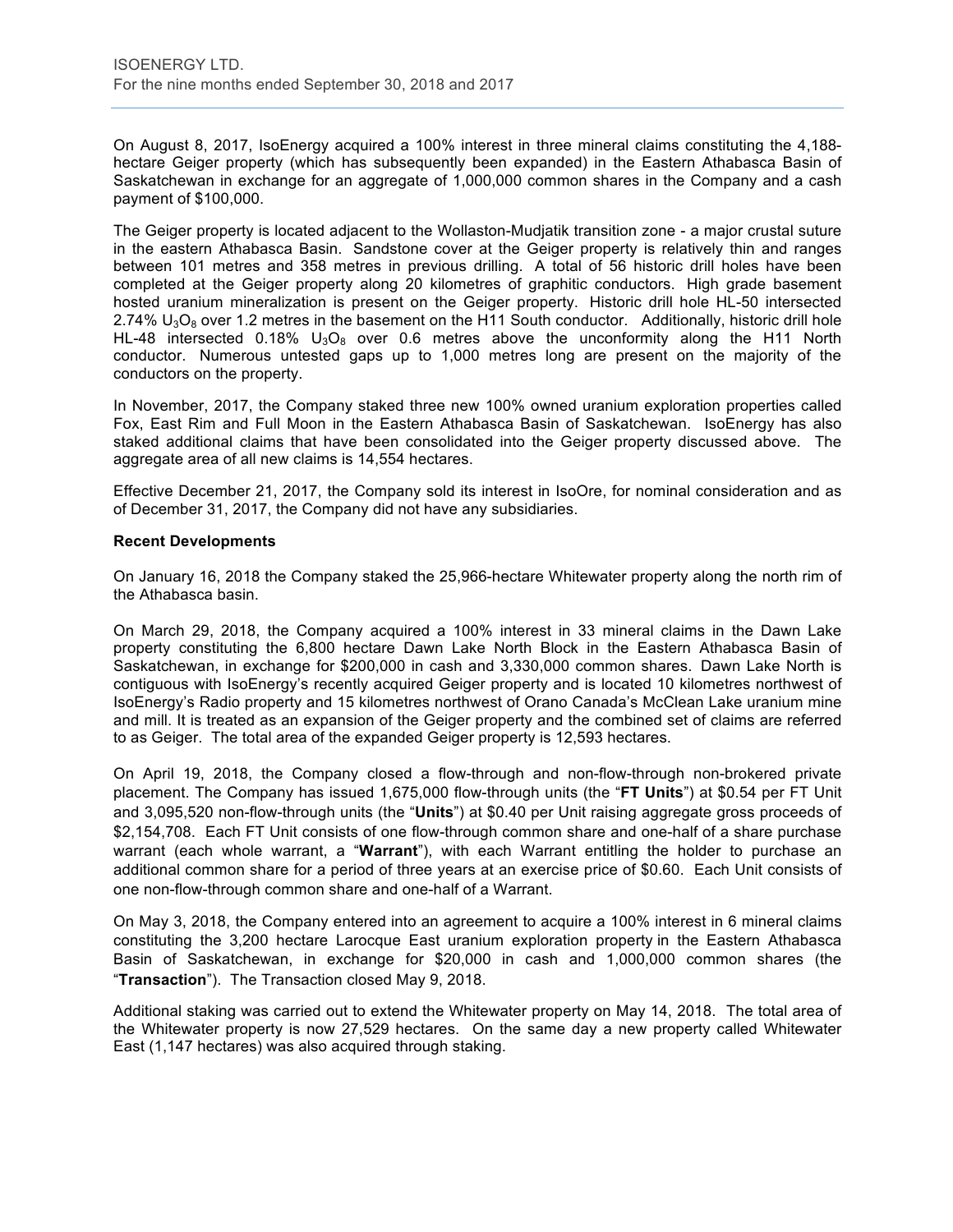On August 8, 2017, IsoEnergy acquired a 100% interest in three mineral claims constituting the 4,188 hectare Geiger property (which has subsequently been expanded) in the Eastern Athabasca Basin of Saskatchewan in exchange for an aggregate of 1,000,000 common shares in the Company and a cash payment of \$100,000.

The Geiger property is located adjacent to the Wollaston-Mudjatik transition zone - a major crustal suture in the eastern Athabasca Basin. Sandstone cover at the Geiger property is relatively thin and ranges between 101 metres and 358 metres in previous drilling. A total of 56 historic drill holes have been completed at the Geiger property along 20 kilometres of graphitic conductors. High grade basement hosted uranium mineralization is present on the Geiger property. Historic drill hole HL-50 intersected  $2.74\%$  U<sub>3</sub>O<sub>8</sub> over 1.2 metres in the basement on the H11 South conductor. Additionally, historic drill hole HL-48 intersected 0.18%  $U_3O_8$  over 0.6 metres above the unconformity along the H11 North conductor. Numerous untested gaps up to 1,000 metres long are present on the majority of the conductors on the property.

In November, 2017, the Company staked three new 100% owned uranium exploration properties called Fox, East Rim and Full Moon in the Eastern Athabasca Basin of Saskatchewan. IsoEnergy has also staked additional claims that have been consolidated into the Geiger property discussed above. The aggregate area of all new claims is 14,554 hectares.

Effective December 21, 2017, the Company sold its interest in IsoOre, for nominal consideration and as of December 31, 2017, the Company did not have any subsidiaries.

#### **Recent Developments**

On January 16, 2018 the Company staked the 25,966-hectare Whitewater property along the north rim of the Athabasca basin.

On March 29, 2018, the Company acquired a 100% interest in 33 mineral claims in the Dawn Lake property constituting the 6,800 hectare Dawn Lake North Block in the Eastern Athabasca Basin of Saskatchewan, in exchange for \$200,000 in cash and 3,330,000 common shares. Dawn Lake North is contiguous with IsoEnergy's recently acquired Geiger property and is located 10 kilometres northwest of IsoEnergy's Radio property and 15 kilometres northwest of Orano Canada's McClean Lake uranium mine and mill. It is treated as an expansion of the Geiger property and the combined set of claims are referred to as Geiger. The total area of the expanded Geiger property is 12,593 hectares.

On April 19, 2018, the Company closed a flow-through and non-flow-through non-brokered private placement. The Company has issued 1,675,000 flow-through units (the "**FT Units**") at \$0.54 per FT Unit and 3,095,520 non-flow-through units (the "**Units**") at \$0.40 per Unit raising aggregate gross proceeds of \$2,154,708. Each FT Unit consists of one flow-through common share and one-half of a share purchase warrant (each whole warrant, a "**Warrant**"), with each Warrant entitling the holder to purchase an additional common share for a period of three years at an exercise price of \$0.60. Each Unit consists of one non-flow-through common share and one-half of a Warrant.

On May 3, 2018, the Company entered into an agreement to acquire a 100% interest in 6 mineral claims constituting the 3,200 hectare Larocque East uranium exploration property in the Eastern Athabasca Basin of Saskatchewan, in exchange for \$20,000 in cash and 1,000,000 common shares (the "**Transaction**"). The Transaction closed May 9, 2018.

Additional staking was carried out to extend the Whitewater property on May 14, 2018. The total area of the Whitewater property is now 27,529 hectares. On the same day a new property called Whitewater East (1,147 hectares) was also acquired through staking.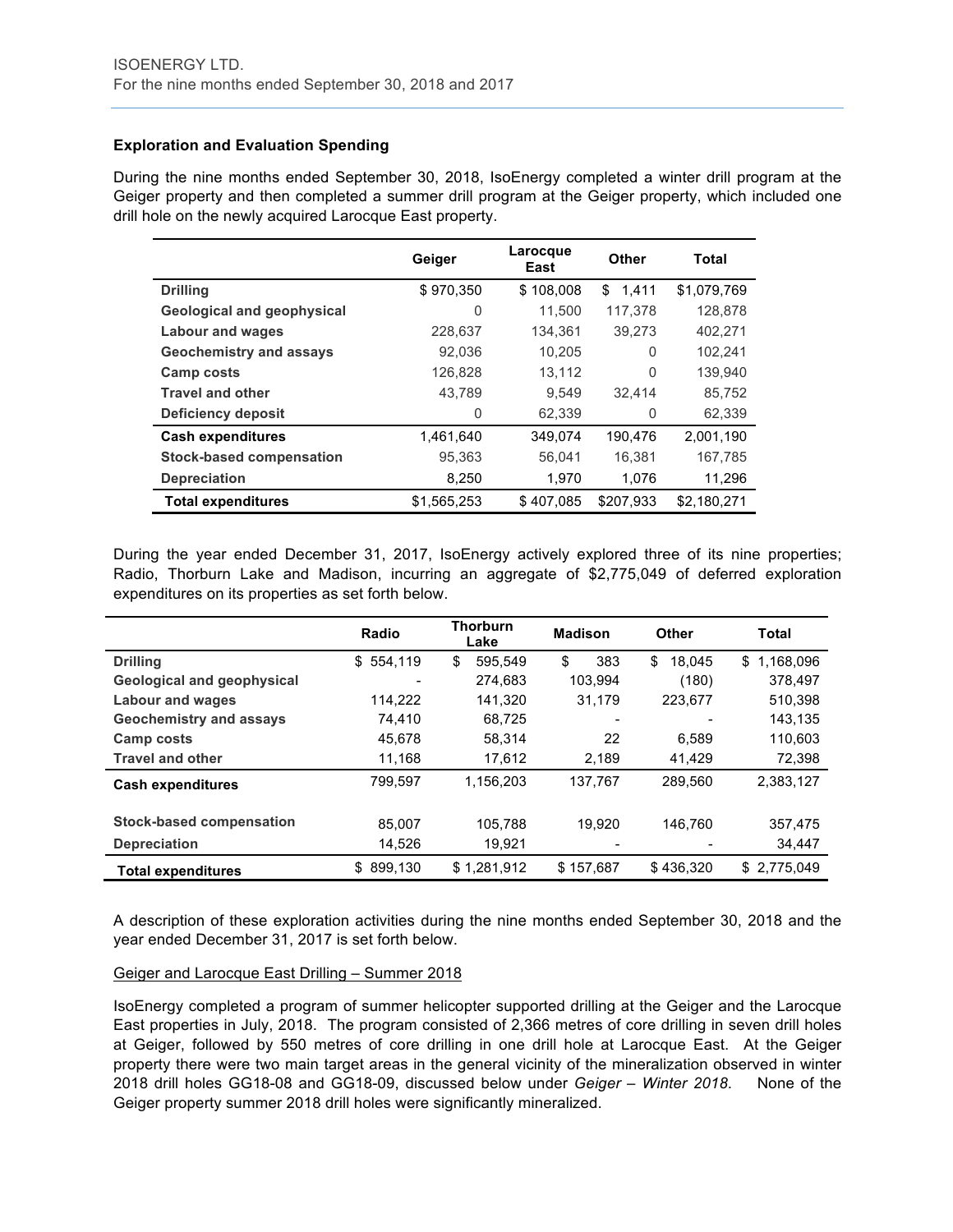# **Exploration and Evaluation Spending**

During the nine months ended September 30, 2018, IsoEnergy completed a winter drill program at the Geiger property and then completed a summer drill program at the Geiger property, which included one drill hole on the newly acquired Larocque East property.

|                                | Geiger      | Larocque<br>East | Other     | Total       |
|--------------------------------|-------------|------------------|-----------|-------------|
| <b>Drilling</b>                | \$970,350   | \$108,008        | \$1.411   | \$1,079,769 |
| Geological and geophysical     | 0           | 11,500           | 117.378   | 128.878     |
| <b>Labour and wages</b>        | 228,637     | 134,361          | 39,273    | 402,271     |
| <b>Geochemistry and assays</b> | 92,036      | 10.205           | 0         | 102,241     |
| Camp costs                     | 126,828     | 13,112           | 0         | 139,940     |
| <b>Travel and other</b>        | 43,789      | 9.549            | 32.414    | 85,752      |
| <b>Deficiency deposit</b>      | 0           | 62,339           | 0         | 62,339      |
| <b>Cash expenditures</b>       | 1.461.640   | 349.074          | 190.476   | 2.001.190   |
| Stock-based compensation       | 95,363      | 56,041           | 16,381    | 167,785     |
| <b>Depreciation</b>            | 8,250       | 1.970            | 1.076     | 11,296      |
| <b>Total expenditures</b>      | \$1,565,253 | \$407,085        | \$207.933 | \$2,180,271 |

During the year ended December 31, 2017, IsoEnergy actively explored three of its nine properties; Radio, Thorburn Lake and Madison, incurring an aggregate of \$2,775,049 of deferred exploration expenditures on its properties as set forth below.

|                                   | Radio         | <b>Thorburn</b><br>Lake | <b>Madison</b> | <b>Other</b> | Total            |
|-----------------------------------|---------------|-------------------------|----------------|--------------|------------------|
| <b>Drilling</b>                   | \$554,119     | 595.549<br>\$           | \$<br>383      | \$<br>18.045 | 1.168.096<br>\$. |
| <b>Geological and geophysical</b> |               | 274.683                 | 103.994        | (180)        | 378.497          |
| <b>Labour and wages</b>           | 114.222       | 141.320                 | 31,179         | 223,677      | 510,398          |
| <b>Geochemistry and assays</b>    | 74.410        | 68.725                  |                |              | 143,135          |
| Camp costs                        | 45,678        | 58,314                  | 22             | 6.589        | 110,603          |
| <b>Travel and other</b>           | 11,168        | 17,612                  | 2,189          | 41,429       | 72,398           |
| <b>Cash expenditures</b>          | 799,597       | 1,156,203               | 137.767        | 289.560      | 2,383,127        |
| Stock-based compensation          | 85.007        | 105.788                 | 19.920         | 146.760      | 357,475          |
| <b>Depreciation</b>               | 14,526        | 19,921                  |                |              | 34,447           |
| <b>Total expenditures</b>         | 899,130<br>\$ | \$1,281,912             | \$157,687      | \$436,320    | \$2,775,049      |

A description of these exploration activities during the nine months ended September 30, 2018 and the year ended December 31, 2017 is set forth below.

# Geiger and Larocque East Drilling – Summer 2018

IsoEnergy completed a program of summer helicopter supported drilling at the Geiger and the Larocque East properties in July, 2018. The program consisted of 2,366 metres of core drilling in seven drill holes at Geiger, followed by 550 metres of core drilling in one drill hole at Larocque East. At the Geiger property there were two main target areas in the general vicinity of the mineralization observed in winter 2018 drill holes GG18-08 and GG18-09, discussed below under *Geiger – Winter 2018*. None of the Geiger property summer 2018 drill holes were significantly mineralized.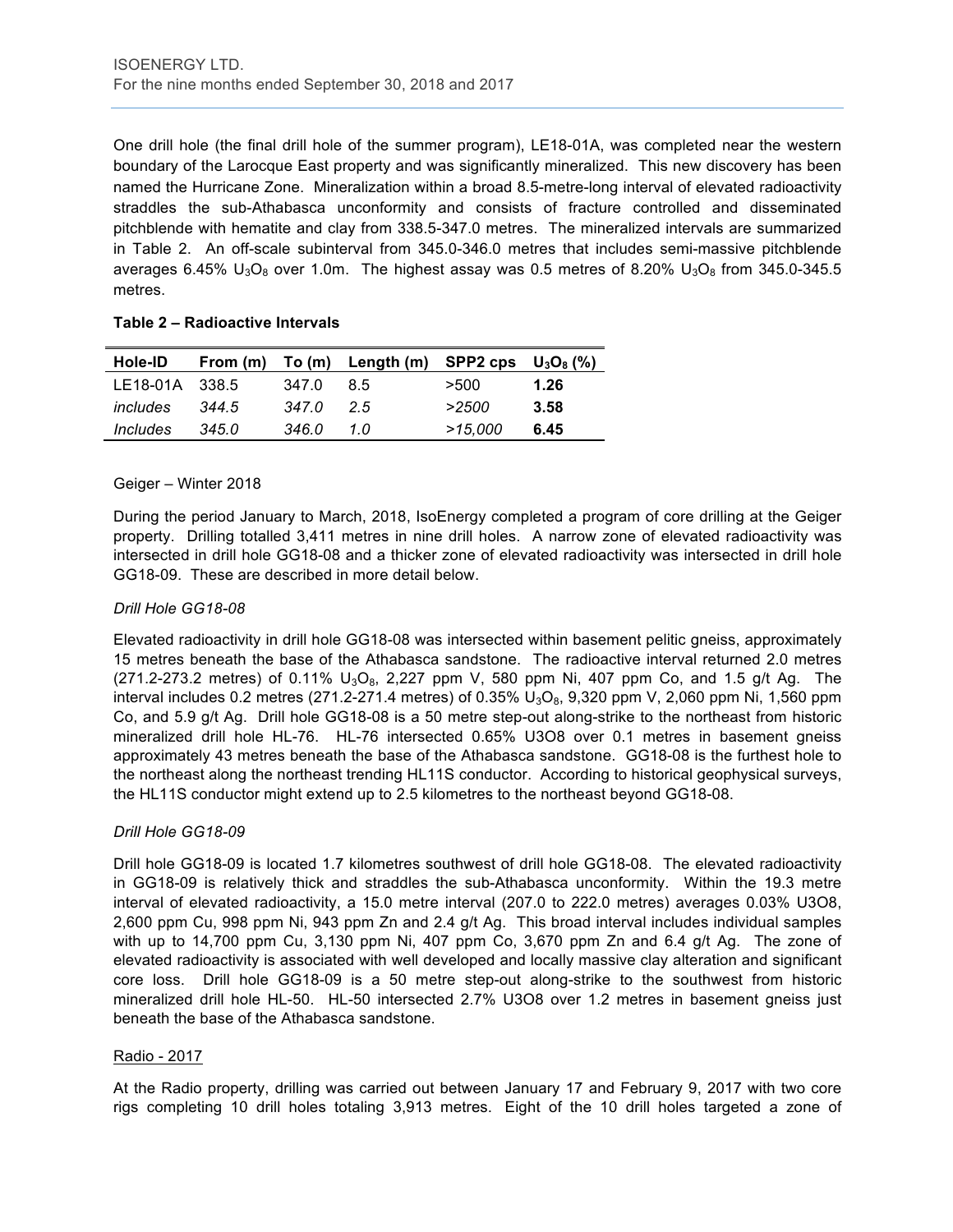One drill hole (the final drill hole of the summer program), LE18-01A, was completed near the western boundary of the Larocque East property and was significantly mineralized. This new discovery has been named the Hurricane Zone. Mineralization within a broad 8.5-metre-long interval of elevated radioactivity straddles the sub-Athabasca unconformity and consists of fracture controlled and disseminated pitchblende with hematite and clay from 338.5-347.0 metres. The mineralized intervals are summarized in Table 2. An off-scale subinterval from 345.0-346.0 metres that includes semi-massive pitchblende averages 6.45%  $U_3O_8$  over 1.0m. The highest assay was 0.5 metres of 8.20%  $U_3O_8$  from 345.0-345.5 metres.

#### **Table 2 – Radioactive Intervals**

| <b>Hole-ID</b> |       |       | From (m) To (m) Length (m) SPP2 cps $U_3O_8$ (%) |         |      |
|----------------|-------|-------|--------------------------------------------------|---------|------|
| LE18-01A 338.5 |       | 347.0 | 85                                               | >500    | 1.26 |
| includes       | 344.5 | 347.0 | 25                                               | >2500   | 3.58 |
| Includes       | 345.0 | 346.0 | 1 O                                              | >15,000 | 6.45 |

#### Geiger – Winter 2018

During the period January to March, 2018, IsoEnergy completed a program of core drilling at the Geiger property. Drilling totalled 3,411 metres in nine drill holes. A narrow zone of elevated radioactivity was intersected in drill hole GG18-08 and a thicker zone of elevated radioactivity was intersected in drill hole GG18-09. These are described in more detail below.

#### *Drill Hole GG18-08*

Elevated radioactivity in drill hole GG18-08 was intersected within basement pelitic gneiss, approximately 15 metres beneath the base of the Athabasca sandstone. The radioactive interval returned 2.0 metres  $(271.2-273.2 \text{ metres})$  of 0.11%  $U_3O_8$ , 2,227 ppm V, 580 ppm Ni, 407 ppm Co, and 1.5 g/t Ag. The interval includes 0.2 metres (271.2-271.4 metres) of 0.35%  $U_3O_8$ , 9,320 ppm V, 2,060 ppm Ni, 1,560 ppm Co, and 5.9 g/t Ag. Drill hole GG18-08 is a 50 metre step-out along-strike to the northeast from historic mineralized drill hole HL-76. HL-76 intersected 0.65% U3O8 over 0.1 metres in basement gneiss approximately 43 metres beneath the base of the Athabasca sandstone. GG18-08 is the furthest hole to the northeast along the northeast trending HL11S conductor. According to historical geophysical surveys, the HL11S conductor might extend up to 2.5 kilometres to the northeast beyond GG18-08.

#### *Drill Hole GG18-09*

Drill hole GG18-09 is located 1.7 kilometres southwest of drill hole GG18-08. The elevated radioactivity in GG18-09 is relatively thick and straddles the sub-Athabasca unconformity. Within the 19.3 metre interval of elevated radioactivity, a 15.0 metre interval (207.0 to 222.0 metres) averages 0.03% U3O8, 2,600 ppm Cu, 998 ppm Ni, 943 ppm Zn and 2.4 g/t Ag. This broad interval includes individual samples with up to 14,700 ppm Cu, 3,130 ppm Ni, 407 ppm Co, 3,670 ppm Zn and 6.4 g/t Ag. The zone of elevated radioactivity is associated with well developed and locally massive clay alteration and significant core loss. Drill hole GG18-09 is a 50 metre step-out along-strike to the southwest from historic mineralized drill hole HL-50. HL-50 intersected 2.7% U3O8 over 1.2 metres in basement gneiss just beneath the base of the Athabasca sandstone.

#### Radio - 2017

At the Radio property, drilling was carried out between January 17 and February 9, 2017 with two core rigs completing 10 drill holes totaling 3,913 metres. Eight of the 10 drill holes targeted a zone of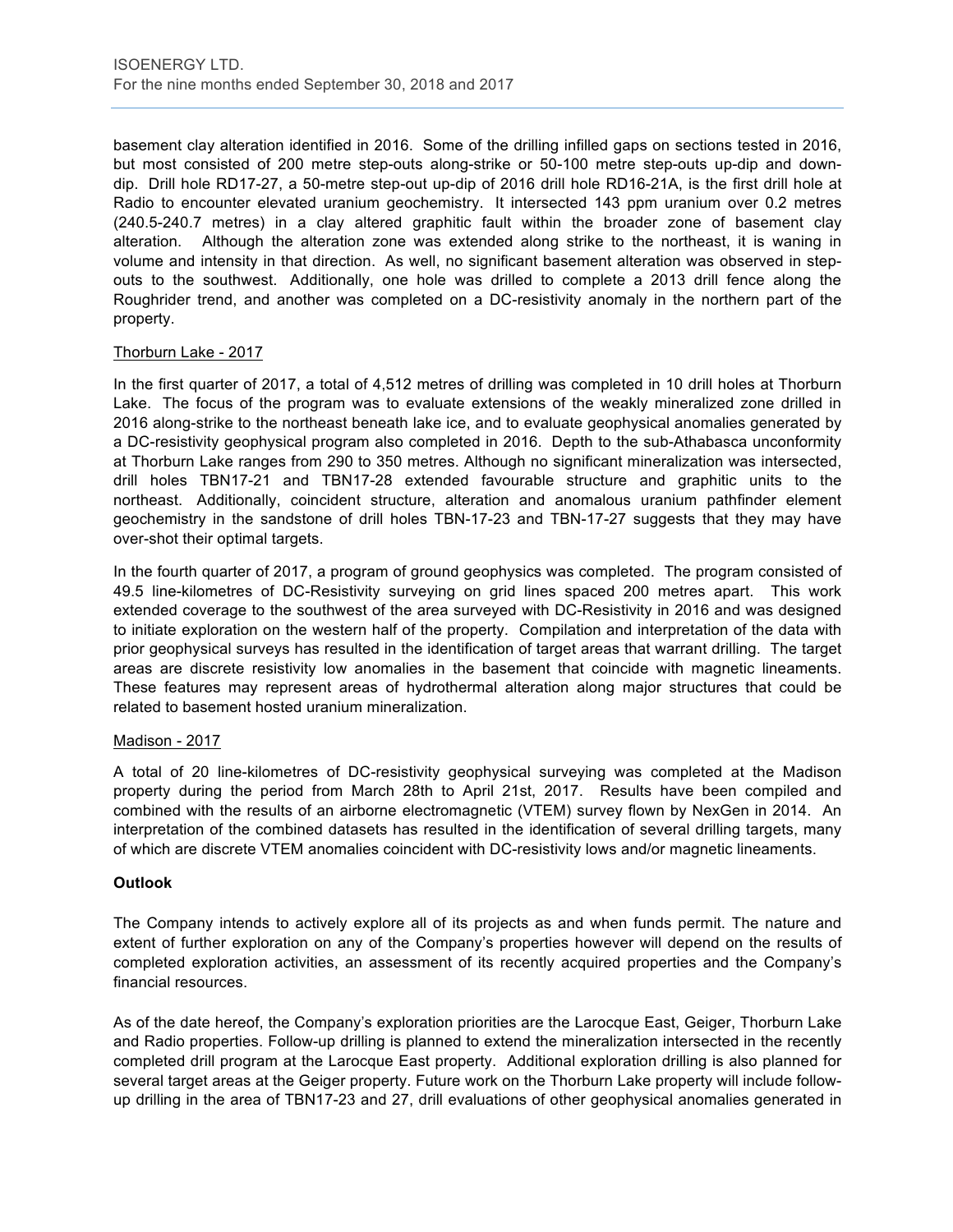basement clay alteration identified in 2016. Some of the drilling infilled gaps on sections tested in 2016, but most consisted of 200 metre step-outs along-strike or 50-100 metre step-outs up-dip and downdip. Drill hole RD17-27, a 50-metre step-out up-dip of 2016 drill hole RD16-21A, is the first drill hole at Radio to encounter elevated uranium geochemistry. It intersected 143 ppm uranium over 0.2 metres (240.5-240.7 metres) in a clay altered graphitic fault within the broader zone of basement clay alteration. Although the alteration zone was extended along strike to the northeast, it is waning in volume and intensity in that direction. As well, no significant basement alteration was observed in stepouts to the southwest. Additionally, one hole was drilled to complete a 2013 drill fence along the Roughrider trend, and another was completed on a DC-resistivity anomaly in the northern part of the property.

#### Thorburn Lake - 2017

In the first quarter of 2017, a total of 4,512 metres of drilling was completed in 10 drill holes at Thorburn Lake. The focus of the program was to evaluate extensions of the weakly mineralized zone drilled in 2016 along-strike to the northeast beneath lake ice, and to evaluate geophysical anomalies generated by a DC-resistivity geophysical program also completed in 2016. Depth to the sub-Athabasca unconformity at Thorburn Lake ranges from 290 to 350 metres. Although no significant mineralization was intersected, drill holes TBN17-21 and TBN17-28 extended favourable structure and graphitic units to the northeast. Additionally, coincident structure, alteration and anomalous uranium pathfinder element geochemistry in the sandstone of drill holes TBN-17-23 and TBN-17-27 suggests that they may have over-shot their optimal targets.

In the fourth quarter of 2017, a program of ground geophysics was completed. The program consisted of 49.5 line-kilometres of DC-Resistivity surveying on grid lines spaced 200 metres apart. This work extended coverage to the southwest of the area surveyed with DC-Resistivity in 2016 and was designed to initiate exploration on the western half of the property. Compilation and interpretation of the data with prior geophysical surveys has resulted in the identification of target areas that warrant drilling. The target areas are discrete resistivity low anomalies in the basement that coincide with magnetic lineaments. These features may represent areas of hydrothermal alteration along major structures that could be related to basement hosted uranium mineralization.

#### Madison - 2017

A total of 20 line-kilometres of DC-resistivity geophysical surveying was completed at the Madison property during the period from March 28th to April 21st, 2017. Results have been compiled and combined with the results of an airborne electromagnetic (VTEM) survey flown by NexGen in 2014. An interpretation of the combined datasets has resulted in the identification of several drilling targets, many of which are discrete VTEM anomalies coincident with DC-resistivity lows and/or magnetic lineaments.

#### **Outlook**

The Company intends to actively explore all of its projects as and when funds permit. The nature and extent of further exploration on any of the Company's properties however will depend on the results of completed exploration activities, an assessment of its recently acquired properties and the Company's financial resources.

As of the date hereof, the Company's exploration priorities are the Larocque East, Geiger, Thorburn Lake and Radio properties. Follow-up drilling is planned to extend the mineralization intersected in the recently completed drill program at the Larocque East property. Additional exploration drilling is also planned for several target areas at the Geiger property. Future work on the Thorburn Lake property will include followup drilling in the area of TBN17-23 and 27, drill evaluations of other geophysical anomalies generated in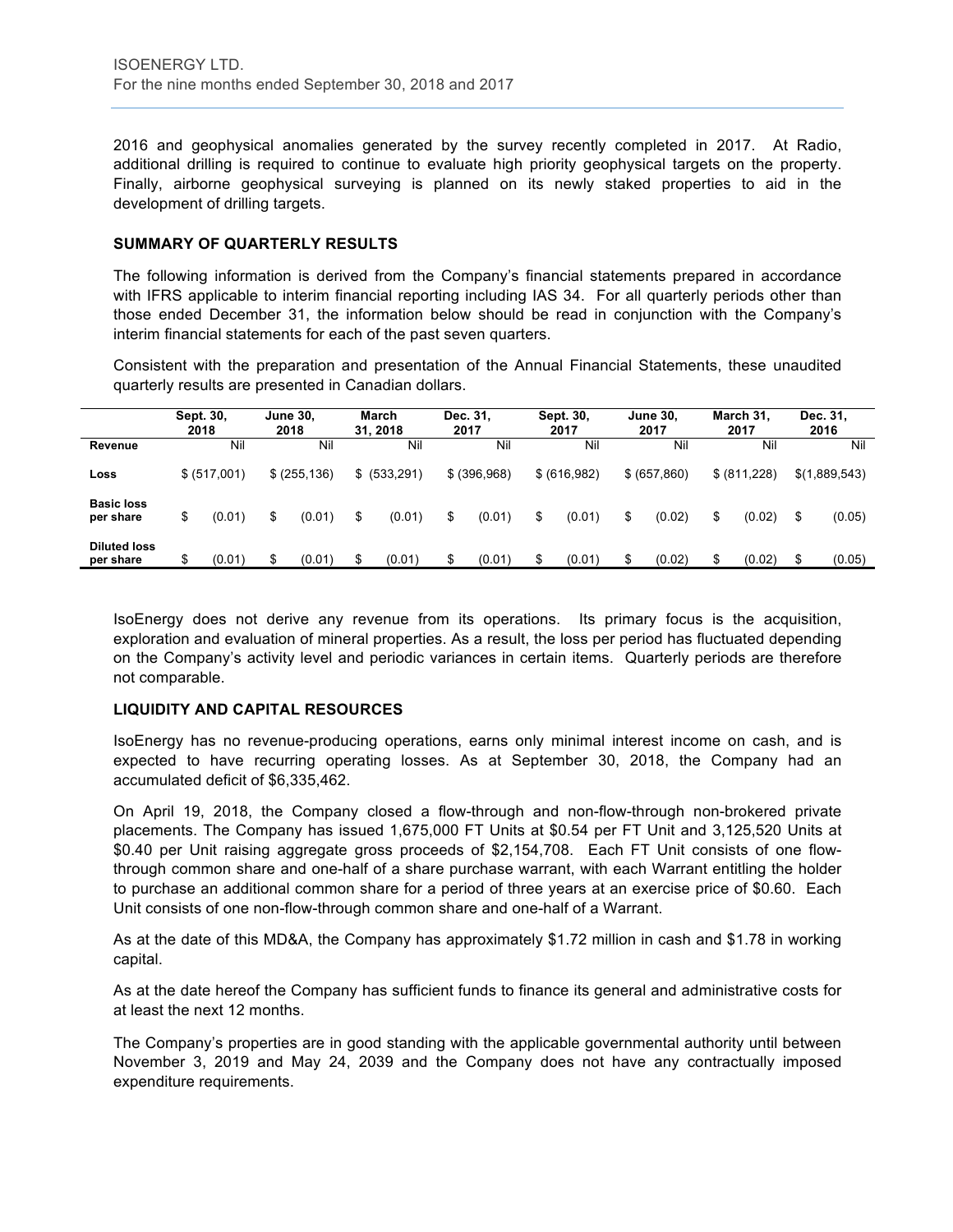2016 and geophysical anomalies generated by the survey recently completed in 2017. At Radio, additional drilling is required to continue to evaluate high priority geophysical targets on the property. Finally, airborne geophysical surveying is planned on its newly staked properties to aid in the development of drilling targets.

#### **SUMMARY OF QUARTERLY RESULTS**

The following information is derived from the Company's financial statements prepared in accordance with IFRS applicable to interim financial reporting including IAS 34. For all quarterly periods other than those ended December 31, the information below should be read in conjunction with the Company's interim financial statements for each of the past seven quarters.

Consistent with the preparation and presentation of the Annual Financial Statements, these unaudited quarterly results are presented in Canadian dollars.

|                                  | Sept. 30, | 2018         | <b>June 30,</b><br>2018 | <b>March</b><br>31.2018 | 2017 | Dec. 31,     | Sept. 30,<br>2017 | <b>June 30,</b><br>2017 | March 31,<br>2017 | Dec. 31,<br>2016 |
|----------------------------------|-----------|--------------|-------------------------|-------------------------|------|--------------|-------------------|-------------------------|-------------------|------------------|
| Revenue                          |           | Nil          | Nil                     | Nil                     |      | Nil          | Nil               | Nil                     | Nil               | Nil              |
| Loss                             |           | \$ (517,001) | \$ (255, 136)           | \$ (533,291)            |      | \$ (396,968) | \$ (616,982)      | \$ (657, 860)           | \$ (811,228)      | \$(1,889,543)    |
| <b>Basic loss</b><br>per share   | \$        | (0.01)       | \$<br>(0.01)            | \$<br>(0.01)            | \$   | (0.01)       | \$<br>(0.01)      | \$<br>(0.02)            | \$<br>(0.02)      | \$<br>(0.05)     |
| <b>Diluted loss</b><br>per share |           | (0.01)       | (0.01)                  | \$<br>(0.01)            |      | (0.01)       | (0.01)            | (0.02)                  | \$<br>(0.02)      | \$<br>(0.05)     |

IsoEnergy does not derive any revenue from its operations. Its primary focus is the acquisition, exploration and evaluation of mineral properties. As a result, the loss per period has fluctuated depending on the Company's activity level and periodic variances in certain items. Quarterly periods are therefore not comparable.

#### **LIQUIDITY AND CAPITAL RESOURCES**

IsoEnergy has no revenue-producing operations, earns only minimal interest income on cash, and is expected to have recurring operating losses. As at September 30, 2018, the Company had an accumulated deficit of \$6,335,462.

On April 19, 2018, the Company closed a flow-through and non-flow-through non-brokered private placements. The Company has issued 1,675,000 FT Units at \$0.54 per FT Unit and 3,125,520 Units at \$0.40 per Unit raising aggregate gross proceeds of \$2,154,708. Each FT Unit consists of one flowthrough common share and one-half of a share purchase warrant, with each Warrant entitling the holder to purchase an additional common share for a period of three years at an exercise price of \$0.60. Each Unit consists of one non-flow-through common share and one-half of a Warrant.

As at the date of this MD&A, the Company has approximately \$1.72 million in cash and \$1.78 in working capital.

As at the date hereof the Company has sufficient funds to finance its general and administrative costs for at least the next 12 months.

The Company's properties are in good standing with the applicable governmental authority until between November 3, 2019 and May 24, 2039 and the Company does not have any contractually imposed expenditure requirements.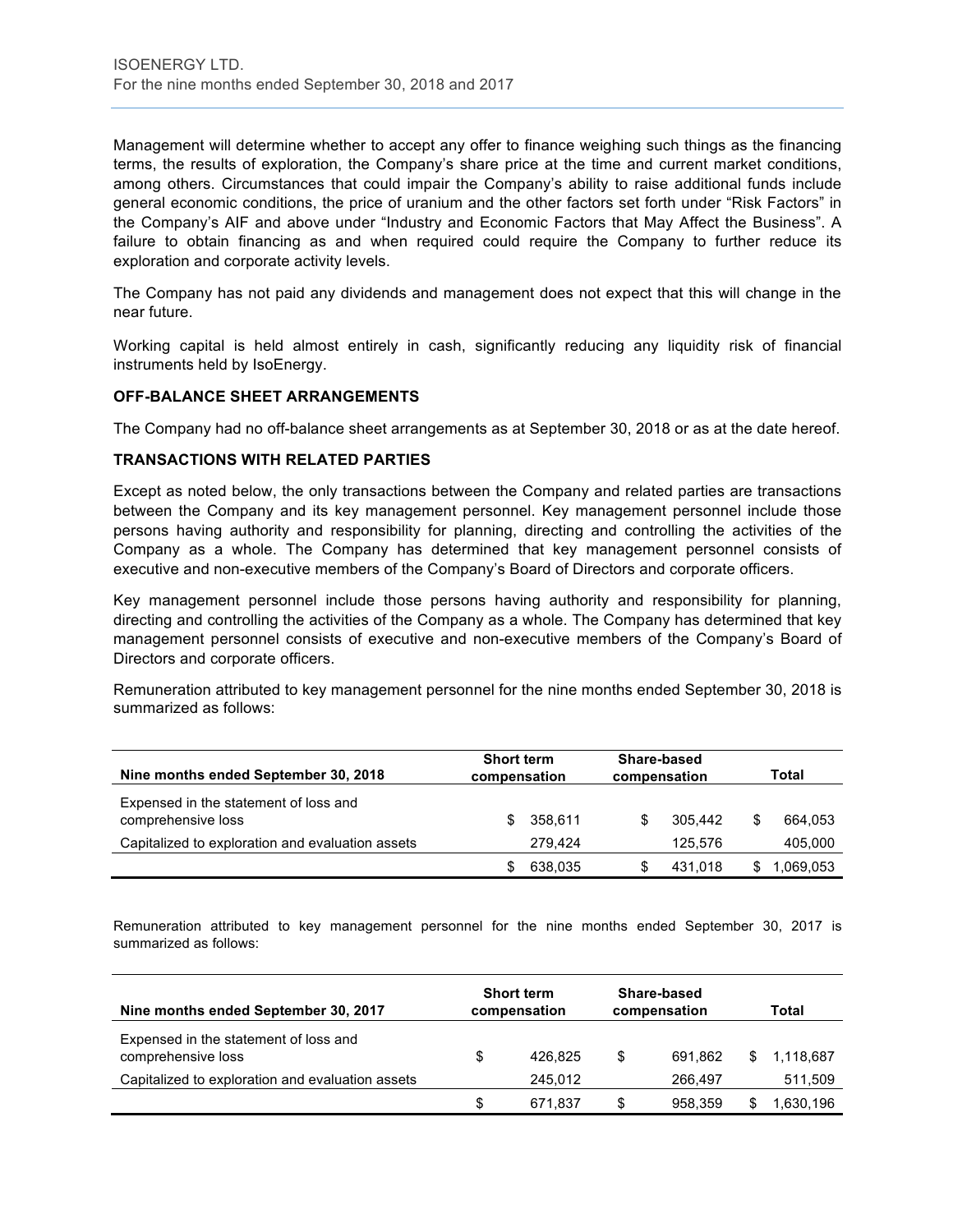Management will determine whether to accept any offer to finance weighing such things as the financing terms, the results of exploration, the Company's share price at the time and current market conditions, among others. Circumstances that could impair the Company's ability to raise additional funds include general economic conditions, the price of uranium and the other factors set forth under "Risk Factors" in the Company's AIF and above under "Industry and Economic Factors that May Affect the Business". A failure to obtain financing as and when required could require the Company to further reduce its exploration and corporate activity levels.

The Company has not paid any dividends and management does not expect that this will change in the near future.

Working capital is held almost entirely in cash, significantly reducing any liquidity risk of financial instruments held by IsoEnergy.

#### **OFF-BALANCE SHEET ARRANGEMENTS**

The Company had no off-balance sheet arrangements as at September 30, 2018 or as at the date hereof.

#### **TRANSACTIONS WITH RELATED PARTIES**

Except as noted below, the only transactions between the Company and related parties are transactions between the Company and its key management personnel. Key management personnel include those persons having authority and responsibility for planning, directing and controlling the activities of the Company as a whole. The Company has determined that key management personnel consists of executive and non-executive members of the Company's Board of Directors and corporate officers.

Key management personnel include those persons having authority and responsibility for planning, directing and controlling the activities of the Company as a whole. The Company has determined that key management personnel consists of executive and non-executive members of the Company's Board of Directors and corporate officers.

Remuneration attributed to key management personnel for the nine months ended September 30, 2018 is summarized as follows:

| Nine months ended September 30, 2018                        | <b>Short term</b><br>compensation | Share-based<br>compensation | Total        |
|-------------------------------------------------------------|-----------------------------------|-----------------------------|--------------|
| Expensed in the statement of loss and<br>comprehensive loss | 358.611                           | \$<br>305.442               | S<br>664,053 |
| Capitalized to exploration and evaluation assets            | 279.424                           | 125.576                     | 405,000      |
|                                                             | 638,035                           | 431.018                     | 1,069,053    |

Remuneration attributed to key management personnel for the nine months ended September 30, 2017 is summarized as follows:

| Nine months ended September 30, 2017                        |    | <b>Short term</b><br>compensation | Share-based<br>compensation | Total     |
|-------------------------------------------------------------|----|-----------------------------------|-----------------------------|-----------|
| Expensed in the statement of loss and<br>comprehensive loss | \$ | 426.825                           | \$<br>691.862               | 1,118,687 |
| Capitalized to exploration and evaluation assets            |    | 245.012                           | 266.497                     | 511,509   |
|                                                             | S  | 671.837                           | \$<br>958.359               | .630,196  |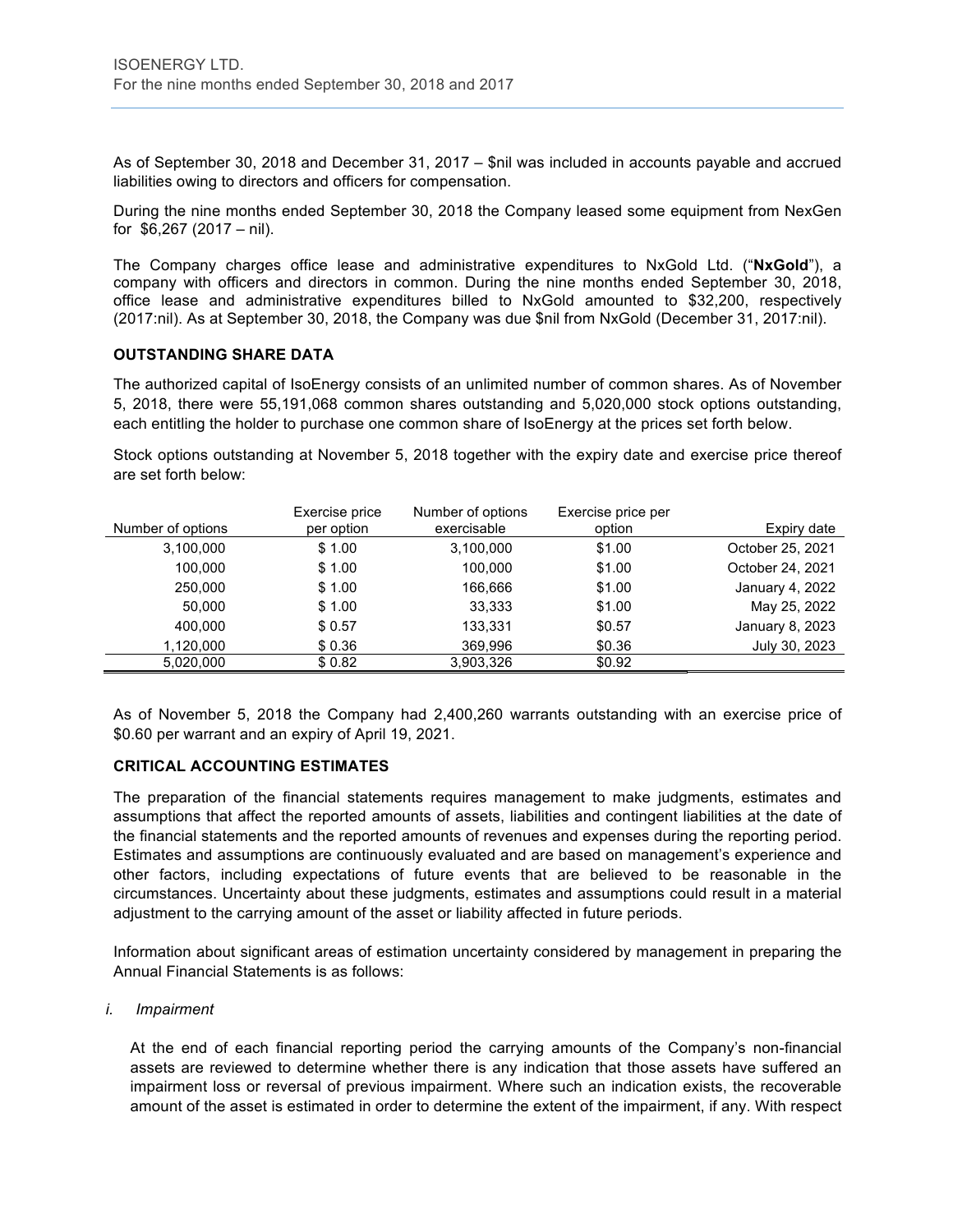As of September 30, 2018 and December 31, 2017 – \$nil was included in accounts payable and accrued liabilities owing to directors and officers for compensation.

During the nine months ended September 30, 2018 the Company leased some equipment from NexGen for \$6,267 (2017 – nil).

The Company charges office lease and administrative expenditures to NxGold Ltd. ("**NxGold**"), a company with officers and directors in common. During the nine months ended September 30, 2018, office lease and administrative expenditures billed to NxGold amounted to \$32,200, respectively (2017:nil). As at September 30, 2018, the Company was due \$nil from NxGold (December 31, 2017:nil).

#### **OUTSTANDING SHARE DATA**

The authorized capital of IsoEnergy consists of an unlimited number of common shares. As of November 5, 2018, there were 55,191,068 common shares outstanding and 5,020,000 stock options outstanding, each entitling the holder to purchase one common share of IsoEnergy at the prices set forth below.

Stock options outstanding at November 5, 2018 together with the expiry date and exercise price thereof are set forth below:

|                   | Exercise price | Number of options | Exercise price per |                  |
|-------------------|----------------|-------------------|--------------------|------------------|
| Number of options | per option     | exercisable       | option             | Expiry date      |
| 3,100,000         | \$1.00         | 3,100,000         | \$1.00             | October 25, 2021 |
| 100,000           | \$1.00         | 100,000           | \$1.00             | October 24, 2021 |
| 250.000           | \$1.00         | 166,666           | \$1.00             | January 4, 2022  |
| 50.000            | \$1.00         | 33.333            | \$1.00             | May 25, 2022     |
| 400,000           | \$0.57         | 133,331           | \$0.57             | January 8, 2023  |
| 1,120,000         | \$0.36         | 369,996           | \$0.36             | July 30, 2023    |
| 5.020.000         | \$0.82         | 3,903,326         | \$0.92             |                  |

As of November 5, 2018 the Company had 2,400,260 warrants outstanding with an exercise price of \$0.60 per warrant and an expiry of April 19, 2021.

#### **CRITICAL ACCOUNTING ESTIMATES**

The preparation of the financial statements requires management to make judgments, estimates and assumptions that affect the reported amounts of assets, liabilities and contingent liabilities at the date of the financial statements and the reported amounts of revenues and expenses during the reporting period. Estimates and assumptions are continuously evaluated and are based on management's experience and other factors, including expectations of future events that are believed to be reasonable in the circumstances. Uncertainty about these judgments, estimates and assumptions could result in a material adjustment to the carrying amount of the asset or liability affected in future periods.

Information about significant areas of estimation uncertainty considered by management in preparing the Annual Financial Statements is as follows:

#### *i. Impairment*

At the end of each financial reporting period the carrying amounts of the Company's non-financial assets are reviewed to determine whether there is any indication that those assets have suffered an impairment loss or reversal of previous impairment. Where such an indication exists, the recoverable amount of the asset is estimated in order to determine the extent of the impairment, if any. With respect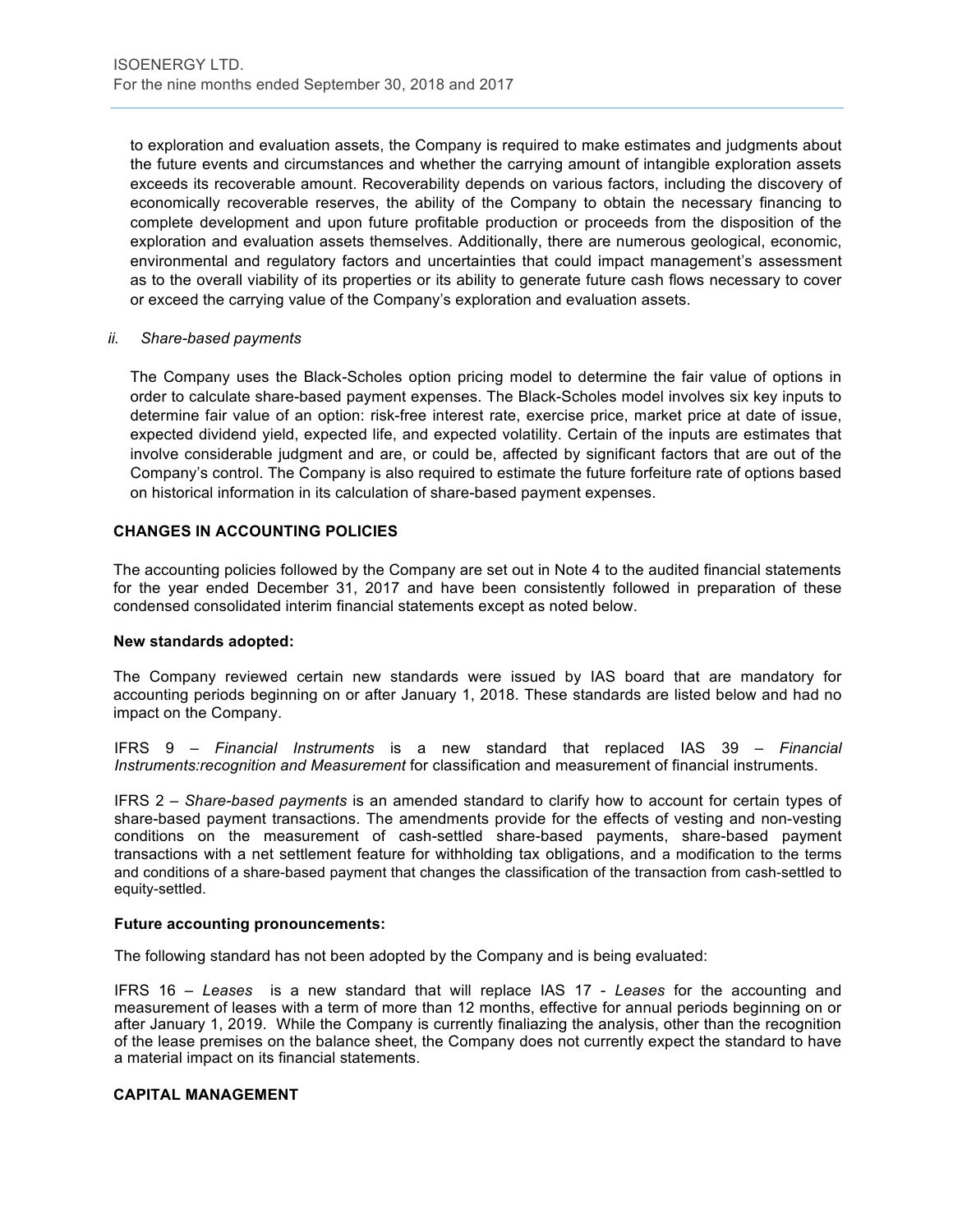to exploration and evaluation assets, the Company is required to make estimates and judgments about the future events and circumstances and whether the carrying amount of intangible exploration assets exceeds its recoverable amount. Recoverability depends on various factors, including the discovery of economically recoverable reserves, the ability of the Company to obtain the necessary financing to complete development and upon future profitable production or proceeds from the disposition of the exploration and evaluation assets themselves. Additionally, there are numerous geological, economic, environmental and regulatory factors and uncertainties that could impact management's assessment as to the overall viability of its properties or its ability to generate future cash flows necessary to cover or exceed the carrying value of the Company's exploration and evaluation assets.

#### *ii. Share-based payments*

The Company uses the Black-Scholes option pricing model to determine the fair value of options in order to calculate share-based payment expenses. The Black-Scholes model involves six key inputs to determine fair value of an option: risk-free interest rate, exercise price, market price at date of issue, expected dividend yield, expected life, and expected volatility. Certain of the inputs are estimates that involve considerable judgment and are, or could be, affected by significant factors that are out of the Company's control. The Company is also required to estimate the future forfeiture rate of options based on historical information in its calculation of share-based payment expenses.

#### **CHANGES IN ACCOUNTING POLICIES**

The accounting policies followed by the Company are set out in Note 4 to the audited financial statements for the year ended December 31, 2017 and have been consistently followed in preparation of these condensed consolidated interim financial statements except as noted below.

#### **New standards adopted:**

The Company reviewed certain new standards were issued by IAS board that are mandatory for accounting periods beginning on or after January 1, 2018. These standards are listed below and had no impact on the Company.

IFRS 9 – *Financial Instruments* is a new standard that replaced IAS 39 – *Financial Instruments:recognition and Measurement* for classification and measurement of financial instruments.

IFRS 2 – *Share-based payments* is an amended standard to clarify how to account for certain types of share-based payment transactions. The amendments provide for the effects of vesting and non-vesting conditions on the measurement of cash-settled share-based payments, share-based payment transactions with a net settlement feature for withholding tax obligations, and a modification to the terms and conditions of a share-based payment that changes the classification of the transaction from cash-settled to equity-settled.

#### **Future accounting pronouncements:**

The following standard has not been adopted by the Company and is being evaluated:

IFRS 16 – *Leases* is a new standard that will replace IAS 17 - *Leases* for the accounting and measurement of leases with a term of more than 12 months, effective for annual periods beginning on or after January 1, 2019. While the Company is currently finaliazing the analysis, other than the recognition of the lease premises on the balance sheet, the Company does not currently expect the standard to have a material impact on its financial statements.

#### **CAPITAL MANAGEMENT**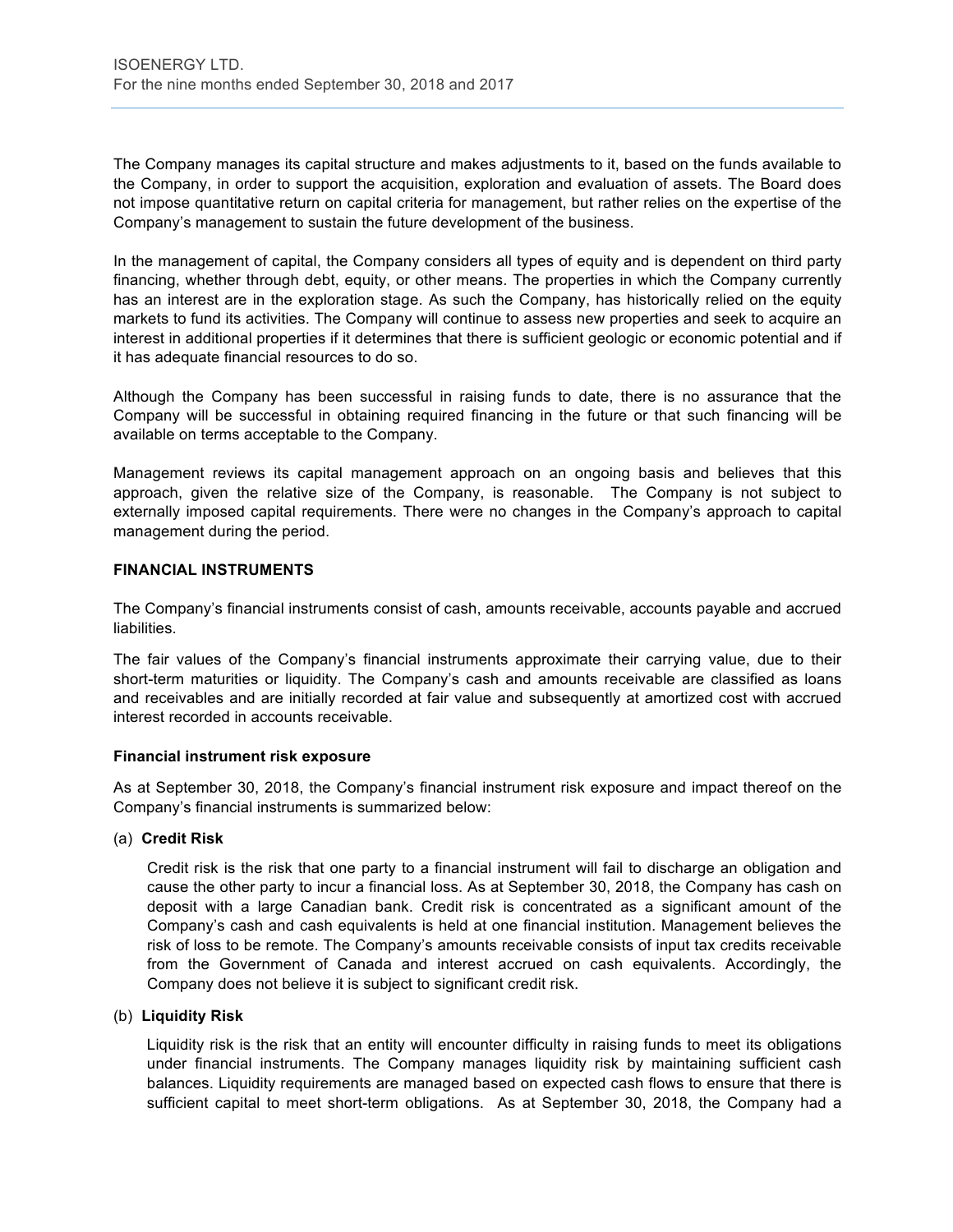The Company manages its capital structure and makes adjustments to it, based on the funds available to the Company, in order to support the acquisition, exploration and evaluation of assets. The Board does not impose quantitative return on capital criteria for management, but rather relies on the expertise of the Company's management to sustain the future development of the business.

In the management of capital, the Company considers all types of equity and is dependent on third party financing, whether through debt, equity, or other means. The properties in which the Company currently has an interest are in the exploration stage. As such the Company, has historically relied on the equity markets to fund its activities. The Company will continue to assess new properties and seek to acquire an interest in additional properties if it determines that there is sufficient geologic or economic potential and if it has adequate financial resources to do so.

Although the Company has been successful in raising funds to date, there is no assurance that the Company will be successful in obtaining required financing in the future or that such financing will be available on terms acceptable to the Company.

Management reviews its capital management approach on an ongoing basis and believes that this approach, given the relative size of the Company, is reasonable. The Company is not subject to externally imposed capital requirements. There were no changes in the Company's approach to capital management during the period.

#### **FINANCIAL INSTRUMENTS**

The Company's financial instruments consist of cash, amounts receivable, accounts payable and accrued liabilities.

The fair values of the Company's financial instruments approximate their carrying value, due to their short-term maturities or liquidity. The Company's cash and amounts receivable are classified as loans and receivables and are initially recorded at fair value and subsequently at amortized cost with accrued interest recorded in accounts receivable.

#### **Financial instrument risk exposure**

As at September 30, 2018, the Company's financial instrument risk exposure and impact thereof on the Company's financial instruments is summarized below:

#### (a) **Credit Risk**

Credit risk is the risk that one party to a financial instrument will fail to discharge an obligation and cause the other party to incur a financial loss. As at September 30, 2018, the Company has cash on deposit with a large Canadian bank. Credit risk is concentrated as a significant amount of the Company's cash and cash equivalents is held at one financial institution. Management believes the risk of loss to be remote. The Company's amounts receivable consists of input tax credits receivable from the Government of Canada and interest accrued on cash equivalents. Accordingly, the Company does not believe it is subject to significant credit risk.

#### (b) **Liquidity Risk**

Liquidity risk is the risk that an entity will encounter difficulty in raising funds to meet its obligations under financial instruments. The Company manages liquidity risk by maintaining sufficient cash balances. Liquidity requirements are managed based on expected cash flows to ensure that there is sufficient capital to meet short-term obligations. As at September 30, 2018, the Company had a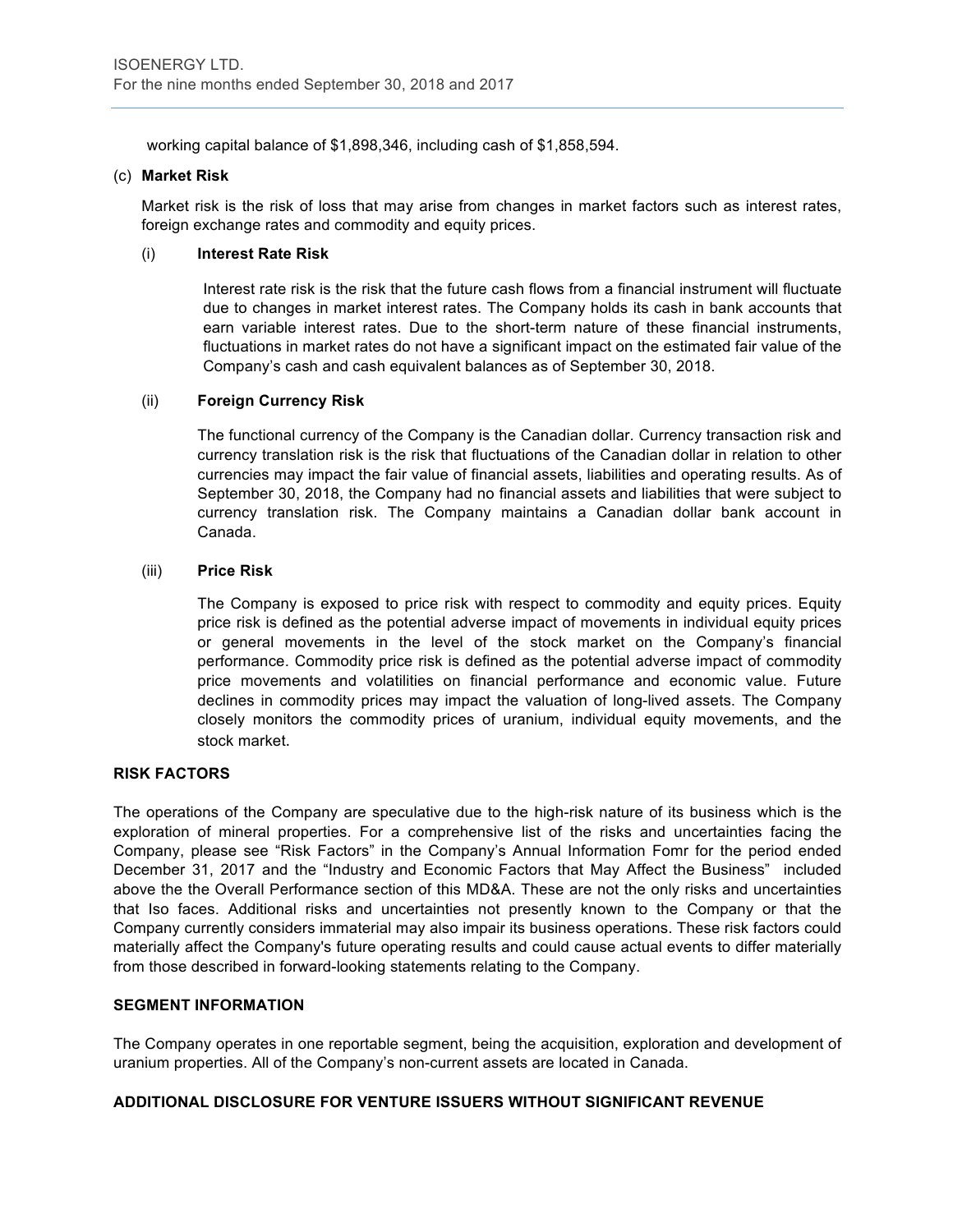working capital balance of \$1,898,346, including cash of \$1,858,594.

#### (c) **Market Risk**

Market risk is the risk of loss that may arise from changes in market factors such as interest rates, foreign exchange rates and commodity and equity prices.

#### (i) **Interest Rate Risk**

Interest rate risk is the risk that the future cash flows from a financial instrument will fluctuate due to changes in market interest rates. The Company holds its cash in bank accounts that earn variable interest rates. Due to the short-term nature of these financial instruments, fluctuations in market rates do not have a significant impact on the estimated fair value of the Company's cash and cash equivalent balances as of September 30, 2018.

# (ii) **Foreign Currency Risk**

The functional currency of the Company is the Canadian dollar. Currency transaction risk and currency translation risk is the risk that fluctuations of the Canadian dollar in relation to other currencies may impact the fair value of financial assets, liabilities and operating results. As of September 30, 2018, the Company had no financial assets and liabilities that were subject to currency translation risk. The Company maintains a Canadian dollar bank account in Canada.

# (iii) **Price Risk**

The Company is exposed to price risk with respect to commodity and equity prices. Equity price risk is defined as the potential adverse impact of movements in individual equity prices or general movements in the level of the stock market on the Company's financial performance. Commodity price risk is defined as the potential adverse impact of commodity price movements and volatilities on financial performance and economic value. Future declines in commodity prices may impact the valuation of long-lived assets. The Company closely monitors the commodity prices of uranium, individual equity movements, and the stock market. 

#### **RISK FACTORS**

The operations of the Company are speculative due to the high-risk nature of its business which is the exploration of mineral properties. For a comprehensive list of the risks and uncertainties facing the Company, please see "Risk Factors" in the Company's Annual Information Fomr for the period ended December 31, 2017 and the "Industry and Economic Factors that May Affect the Business" included above the the Overall Performance section of this MD&A. These are not the only risks and uncertainties that Iso faces. Additional risks and uncertainties not presently known to the Company or that the Company currently considers immaterial may also impair its business operations. These risk factors could materially affect the Company's future operating results and could cause actual events to differ materially from those described in forward-looking statements relating to the Company.

# **SEGMENT INFORMATION**

The Company operates in one reportable segment, being the acquisition, exploration and development of uranium properties. All of the Company's non-current assets are located in Canada.

# **ADDITIONAL DISCLOSURE FOR VENTURE ISSUERS WITHOUT SIGNIFICANT REVENUE**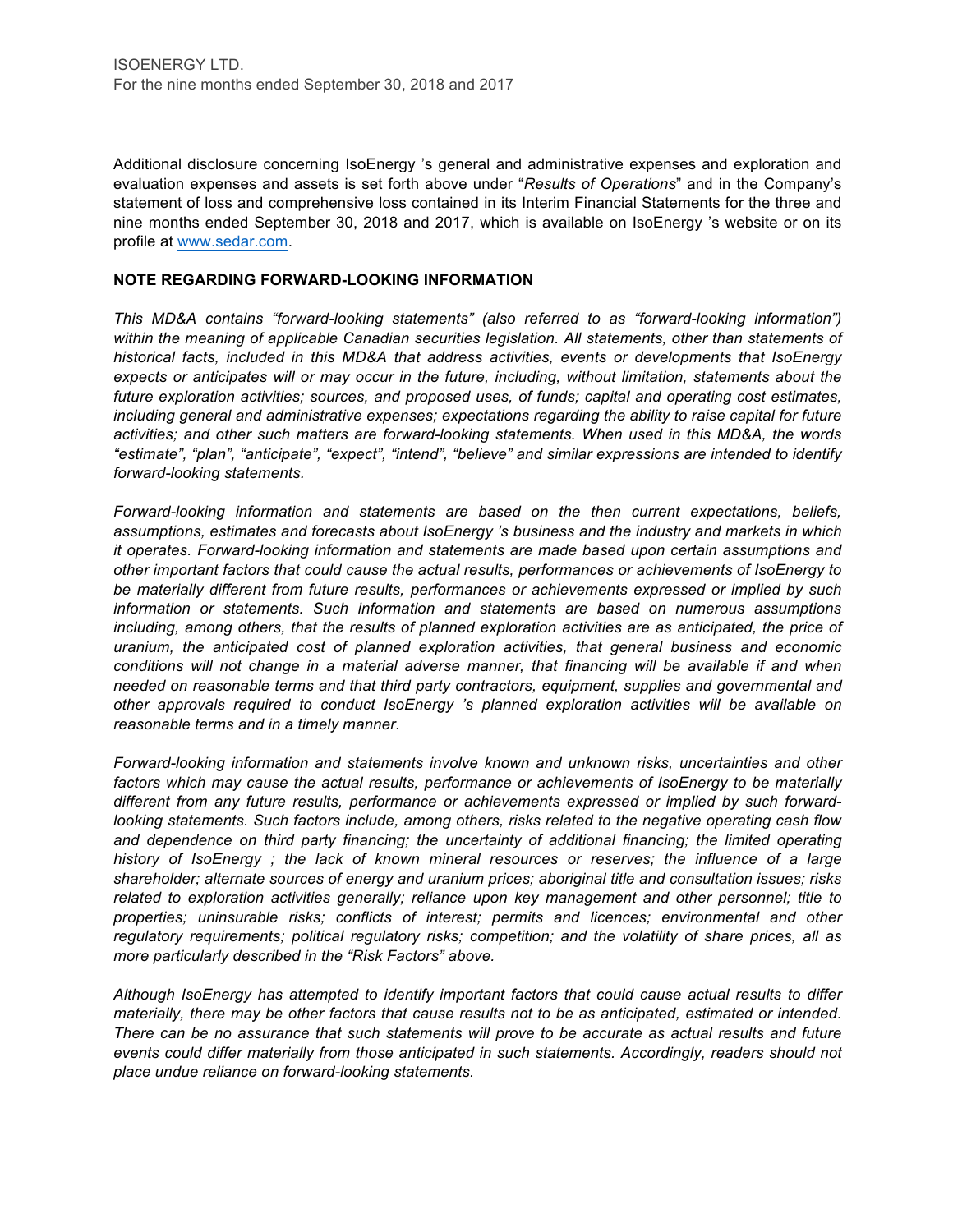Additional disclosure concerning IsoEnergy 's general and administrative expenses and exploration and evaluation expenses and assets is set forth above under "*Results of Operations*" and in the Company's statement of loss and comprehensive loss contained in its Interim Financial Statements for the three and nine months ended September 30, 2018 and 2017, which is available on IsoEnergy 's website or on its profile at www.sedar.com.

#### **NOTE REGARDING FORWARD-LOOKING INFORMATION**

*This MD&A contains "forward-looking statements" (also referred to as "forward-looking information")*  within the meaning of applicable Canadian securities legislation. All statements, other than statements of *historical facts, included in this MD&A that address activities, events or developments that IsoEnergy expects or anticipates will or may occur in the future, including, without limitation, statements about the future exploration activities; sources, and proposed uses, of funds; capital and operating cost estimates, including general and administrative expenses; expectations regarding the ability to raise capital for future activities; and other such matters are forward-looking statements. When used in this MD&A, the words "estimate", "plan", "anticipate", "expect", "intend", "believe" and similar expressions are intended to identify forward-looking statements.* 

*Forward-looking information and statements are based on the then current expectations, beliefs, assumptions, estimates and forecasts about IsoEnergy 's business and the industry and markets in which it operates. Forward-looking information and statements are made based upon certain assumptions and other important factors that could cause the actual results, performances or achievements of IsoEnergy to be materially different from future results, performances or achievements expressed or implied by such information or statements. Such information and statements are based on numerous assumptions including, among others, that the results of planned exploration activities are as anticipated, the price of uranium, the anticipated cost of planned exploration activities, that general business and economic conditions will not change in a material adverse manner, that financing will be available if and when needed on reasonable terms and that third party contractors, equipment, supplies and governmental and other approvals required to conduct IsoEnergy 's planned exploration activities will be available on reasonable terms and in a timely manner.* 

*Forward-looking information and statements involve known and unknown risks, uncertainties and other*  factors which may cause the actual results, performance or achievements of IsoEnergy to be materially *different from any future results, performance or achievements expressed or implied by such forwardlooking statements. Such factors include, among others, risks related to the negative operating cash flow*  and dependence on third party financing; the uncertainty of additional financing; the limited operating *history of IsoEnergy ; the lack of known mineral resources or reserves; the influence of a large shareholder; alternate sources of energy and uranium prices; aboriginal title and consultation issues; risks related to exploration activities generally; reliance upon key management and other personnel; title to properties; uninsurable risks; conflicts of interest; permits and licences; environmental and other regulatory requirements; political regulatory risks; competition; and the volatility of share prices, all as more particularly described in the "Risk Factors" above.* 

*Although IsoEnergy has attempted to identify important factors that could cause actual results to differ materially, there may be other factors that cause results not to be as anticipated, estimated or intended. There can be no assurance that such statements will prove to be accurate as actual results and future events could differ materially from those anticipated in such statements. Accordingly, readers should not place undue reliance on forward-looking statements.*